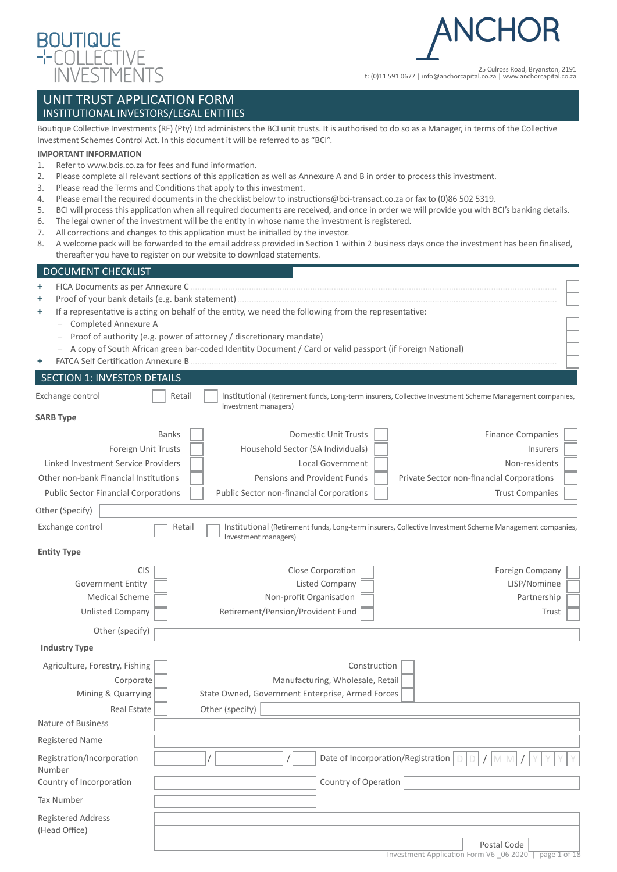

25 Culross Road, Bryanston, 2191 t: (0)11 591 0677 | info@anchorcapital.co.za | www.anchorcapital.co.za

# UNIT TRUST APPLICATION FORM

## INSTITUTIONAL INVESTORS/LEGAL ENTITIES

Boutique Collective Investments (RF) (Pty) Ltd administers the BCI unit trusts. It is authorised to do so as a Manager, in terms of the Collective Investment Schemes Control Act. In this document it will be referred to as "BCI".

### **IMPORTANT INFORMATION**

- 1. Refer to www.bcis.co.za for fees and fund information.
- 2. Please complete all relevant sections of this application as well as Annexure A and B in order to process this investment.
- 3. Please read the Terms and Conditions that apply to this investment.
- 4. Please email the required documents in the checklist below to instructions@bci-transact.co.za or fax to (0)86 502 5319.
- 5. BCI will process this application when all required documents are received, and once in order we will provide you with BCI's banking details.
- 6. The legal owner of the investment will be the entity in whose name the investment is registered.
- 7. All corrections and changes to this application must be initialled by the investor.
- 8. A welcome pack will be forwarded to the email address provided in Section 1 within 2 business days once the investment has been finalised, thereafter you have to register on our website to download statements.

## DOCUMENT CHECKLIST

- + FICA Documents as per Annexure C
- Proof of your bank details (e.g. bank statement)
- **+** If a representative is acting on behalf of the entity, we need the following from the representative:
	- Completed Annexure A
	- Proof of authority (e.g. power of attorney / discretionary mandate)
	- A copy of South African green bar-coded Identity Document / Card or valid passport (if Foreign National)
- **+** FATCA Self Certification Annexure B............................................................................................................................................................

## SECTION 1: INVESTOR DETAILS

| <b>OLONON I. MARTOLON DE 17</b>             |              |                                                                                                                                 |                                    |                                        |                                           |               |
|---------------------------------------------|--------------|---------------------------------------------------------------------------------------------------------------------------------|------------------------------------|----------------------------------------|-------------------------------------------|---------------|
| Exchange control                            | Retail       | Institutional (Retirement funds, Long-term insurers, Collective Investment Scheme Management companies,<br>Investment managers) |                                    |                                        |                                           |               |
| <b>SARB Type</b>                            |              |                                                                                                                                 |                                    |                                        |                                           |               |
|                                             | <b>Banks</b> |                                                                                                                                 | <b>Domestic Unit Trusts</b>        |                                        | <b>Finance Companies</b>                  |               |
| <b>Foreign Unit Trusts</b>                  |              | Household Sector (SA Individuals)                                                                                               |                                    |                                        |                                           | Insurers      |
| Linked Investment Service Providers         |              |                                                                                                                                 | Local Government                   |                                        |                                           | Non-residents |
| Other non-bank Financial Institutions       |              | Pensions and Provident Funds                                                                                                    |                                    |                                        | Private Sector non-financial Corporations |               |
| <b>Public Sector Financial Corporations</b> |              | Public Sector non-financial Corporations                                                                                        |                                    |                                        | <b>Trust Companies</b>                    |               |
| Other (Specify)                             |              |                                                                                                                                 |                                    |                                        |                                           |               |
| Exchange control                            | Retail       | Institutional (Retirement funds, Long-term insurers, Collective Investment Scheme Management companies,<br>Investment managers) |                                    |                                        |                                           |               |
| <b>Entity Type</b>                          |              |                                                                                                                                 |                                    |                                        |                                           |               |
| <b>CIS</b>                                  |              |                                                                                                                                 | Close Corporation                  |                                        | Foreign Company                           |               |
| Government Entity                           |              |                                                                                                                                 | <b>Listed Company</b>              |                                        |                                           | LISP/Nominee  |
| <b>Medical Scheme</b>                       |              | Non-profit Organisation                                                                                                         |                                    |                                        |                                           | Partnership   |
| <b>Unlisted Company</b>                     |              | Retirement/Pension/Provident Fund                                                                                               |                                    |                                        |                                           | Trust         |
| Other (specify)                             |              |                                                                                                                                 |                                    |                                        |                                           |               |
| <b>Industry Type</b>                        |              |                                                                                                                                 |                                    |                                        |                                           |               |
| Agriculture, Forestry, Fishing              |              |                                                                                                                                 | Construction                       |                                        |                                           |               |
| Corporate                                   |              |                                                                                                                                 | Manufacturing, Wholesale, Retail   |                                        |                                           |               |
| Mining & Quarrying                          |              | State Owned, Government Enterprise, Armed Forces                                                                                |                                    |                                        |                                           |               |
| <b>Real Estate</b>                          |              | Other (specify)                                                                                                                 |                                    |                                        |                                           |               |
| Nature of Business                          |              |                                                                                                                                 |                                    |                                        |                                           |               |
| Registered Name                             |              |                                                                                                                                 |                                    |                                        |                                           |               |
| Registration/Incorporation<br>Number        |              |                                                                                                                                 | Date of Incorporation/Registration |                                        |                                           |               |
| Country of Incorporation                    |              |                                                                                                                                 | Country of Operation               |                                        |                                           |               |
| <b>Tax Number</b>                           |              |                                                                                                                                 |                                    |                                        |                                           |               |
| <b>Registered Address</b>                   |              |                                                                                                                                 |                                    |                                        |                                           |               |
| (Head Office)                               |              |                                                                                                                                 |                                    |                                        |                                           |               |
|                                             |              |                                                                                                                                 |                                    |                                        | Postal Code                               |               |
|                                             |              |                                                                                                                                 |                                    | Investment Application Form V6 06 2020 |                                           | page 1 of 18  |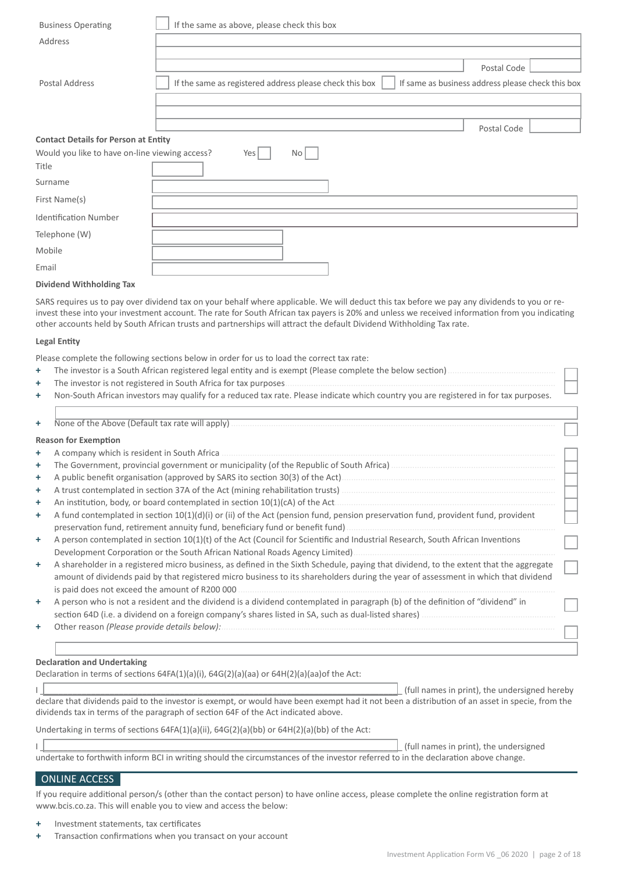| <b>Business Operating</b>                      | If the same as above, please check this box                                                                                                                                                                                   |
|------------------------------------------------|-------------------------------------------------------------------------------------------------------------------------------------------------------------------------------------------------------------------------------|
| Address                                        |                                                                                                                                                                                                                               |
|                                                | Postal Code                                                                                                                                                                                                                   |
| Postal Address                                 | If the same as registered address please check this box<br>If same as business address please check this box                                                                                                                  |
|                                                |                                                                                                                                                                                                                               |
|                                                |                                                                                                                                                                                                                               |
|                                                | Postal Code                                                                                                                                                                                                                   |
| <b>Contact Details for Person at Entity</b>    |                                                                                                                                                                                                                               |
| Would you like to have on-line viewing access? | No <sub>1</sub><br>Yes                                                                                                                                                                                                        |
| Title                                          |                                                                                                                                                                                                                               |
| Surname                                        |                                                                                                                                                                                                                               |
| First Name(s)                                  |                                                                                                                                                                                                                               |
| <b>Identification Number</b>                   |                                                                                                                                                                                                                               |
| Telephone (W)                                  |                                                                                                                                                                                                                               |
| Mobile                                         |                                                                                                                                                                                                                               |
| Email                                          |                                                                                                                                                                                                                               |
| <b>Dividend Withholding Tax</b>                |                                                                                                                                                                                                                               |
|                                                | CABC used the second and alternated the second relationship and traded at Medicinal delayed the before the second distribution of the second second the second second second second second second second second second second |

SARS requires us to pay over dividend tax on your behalf where applicable. We will deduct this tax before we pay any dividends to you or reinvest these into your investment account. The rate for South African tax payers is 20% and unless we received information from you indicating other accounts held by South African trusts and partnerships will attract the default Dividend Withholding Tax rate.

## **Legal Entity**

Please complete the following sections below in order for us to load the correct tax rate:

| $\ddot{}$   | The investor is a South African registered legal entity and is exempt (Please complete the below section)                                                                                                                                                                                                                        |
|-------------|----------------------------------------------------------------------------------------------------------------------------------------------------------------------------------------------------------------------------------------------------------------------------------------------------------------------------------|
| ÷           |                                                                                                                                                                                                                                                                                                                                  |
| ÷           | Non-South African investors may qualify for a reduced tax rate. Please indicate which country you are registered in for tax purposes.                                                                                                                                                                                            |
|             |                                                                                                                                                                                                                                                                                                                                  |
| ÷           |                                                                                                                                                                                                                                                                                                                                  |
|             | <b>Reason for Exemption</b>                                                                                                                                                                                                                                                                                                      |
| ÷.          | A company which is resident in South Africa                                                                                                                                                                                                                                                                                      |
| $\ddot{}$   |                                                                                                                                                                                                                                                                                                                                  |
| $\ddotmark$ |                                                                                                                                                                                                                                                                                                                                  |
| ÷           |                                                                                                                                                                                                                                                                                                                                  |
| ÷           |                                                                                                                                                                                                                                                                                                                                  |
| ÷.          | A fund contemplated in section 10(1)(d)(i) or (ii) of the Act (pension fund, pension preservation fund, provident fund, provident                                                                                                                                                                                                |
| ÷           | A person contemplated in section 10(1)(t) of the Act (Council for Scientific and Industrial Research, South African Inventions                                                                                                                                                                                                   |
| ÷           | A shareholder in a registered micro business, as defined in the Sixth Schedule, paying that dividend, to the extent that the aggregate<br>amount of dividends paid by that registered micro business to its shareholders during the year of assessment in which that dividend<br>is paid does not exceed the amount of R200 000. |
| $\ddot{}$   | A person who is not a resident and the dividend is a dividend contemplated in paragraph (b) of the definition of "dividend" in                                                                                                                                                                                                   |
|             |                                                                                                                                                                                                                                                                                                                                  |
| ÷           |                                                                                                                                                                                                                                                                                                                                  |

### **Declaration and Undertaking**

| Declaration in terms of sections $64FA(1)(a)(i)$ , $64G(2)(a)(aa)$ or $64H(2)(a)(aa)$ of the Act:                                               |
|-------------------------------------------------------------------------------------------------------------------------------------------------|
| (full names in print), the undersigned hereby                                                                                                   |
| declare that dividends paid to the investor is exempt, or would have been exempt had it not been a distribution of an asset in specie, from the |
| dividends tax in terms of the paragraph of section 64F of the Act indicated above.                                                              |

Undertaking in terms of sections 64FA(1)(a)(ii), 64G(2)(a)(bb) or 64H(2)(a)(bb) of the Act:

|                                                                                                                                    | (full names in print), the undersigned |
|------------------------------------------------------------------------------------------------------------------------------------|----------------------------------------|
| undertake to forthwith inform BCI in writing should the circumstances of the investor referred to in the declaration above change. |                                        |
|                                                                                                                                    |                                        |

## ONLINE ACCESS

If you require additional person/s (other than the contact person) to have online access, please complete the online registration form at www.bcis.co.za. This will enable you to view and access the below:

- **+** Investment statements, tax certificates
- **+** Transaction confirmations when you transact on your account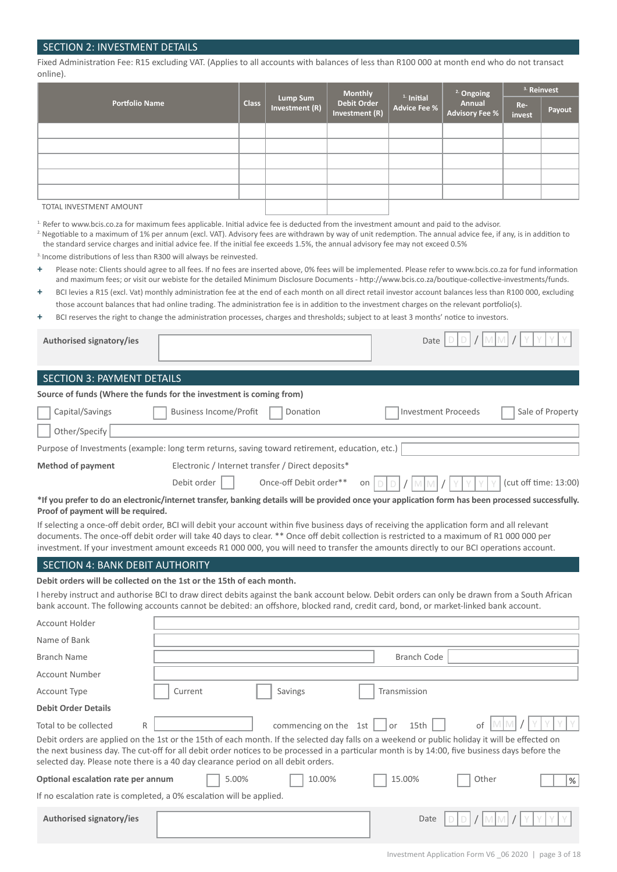## SECTION 2: INVESTMENT DETAILS

Fixed Administration Fee: R15 excluding VAT. (Applies to all accounts with balances of less than R100 000 at month end who do not transact online).

|                          |              |                                   | <b>Monthly</b>                       | $1$ -Initial<br>Advice Fee % | <sup>2.</sup> Ongoing           | <sup>3.</sup> Reinvest |        |
|--------------------------|--------------|-----------------------------------|--------------------------------------|------------------------------|---------------------------------|------------------------|--------|
| <b>Portfolio Name</b>    | <b>Class</b> | <b>Lump Sum</b><br>Investment (R) | <b>Debit Order</b><br>Investment (R) |                              | Annual<br><b>Advisory Fee %</b> | Re<br>invest           | Payout |
|                          |              |                                   |                                      |                              |                                 |                        |        |
|                          |              |                                   |                                      |                              |                                 |                        |        |
|                          |              |                                   |                                      |                              |                                 |                        |        |
|                          |              |                                   |                                      |                              |                                 |                        |        |
|                          |              |                                   |                                      |                              |                                 |                        |        |
| TOTAL INIVESTMENT AMOUNT |              |                                   |                                      |                              |                                 |                        |        |

TOTAL INVESTMENT AMOUNT

<sup>1</sup>. Refer to www.bcis.co.za for maximum fees applicable. Initial advice fee is deducted from the investment amount and paid to the advisor. <sup>2</sup>. Negotiable to a maximum of 1% per annum (excl. VAT). Advisory fees are withdrawn by way of unit redemption. The annual advice fee, if any, is in addition to the standard service charges and initial advice fee. If the initial fee exceeds 1.5%, the annual advisory fee may not exceed 0.5%

<sup>3.</sup> Income distributions of less than R300 will always be reinvested.

- **+** Please note: Clients should agree to all fees. If no fees are inserted above, 0% fees will be implemented. Please refer to www.bcis.co.za for fund information and maximum fees; or visit our webiste for the detailed Minimum Disclosure Documents - http://www.bcis.co.za/boutique-collective-investments/funds.
- **+** BCI levies a R15 (excl. Vat) monthly administration fee at the end of each month on all direct retail investor account balances less than R100 000, excluding those account balances that had online trading. The administration fee is in addition to the investment charges on the relevant portfolio(s).
- **+** BCI reserves the right to change the administration processes, charges and thresholds; subject to at least 3 months' notice to investors.

| Authorised signatory/ies                                                                       |                               |                                                   | Date                                                                                                                                     |                       |
|------------------------------------------------------------------------------------------------|-------------------------------|---------------------------------------------------|------------------------------------------------------------------------------------------------------------------------------------------|-----------------------|
| <b>SECTION 3: PAYMENT DETAILS</b>                                                              |                               |                                                   |                                                                                                                                          |                       |
| Source of funds (Where the funds for the investment is coming from)                            |                               |                                                   |                                                                                                                                          |                       |
| Capital/Savings                                                                                | <b>Business Income/Profit</b> | Donation                                          | <b>Investment Proceeds</b>                                                                                                               | Sale of Property      |
| Other/Specify                                                                                  |                               |                                                   |                                                                                                                                          |                       |
| Purpose of Investments (example: long term returns, saving toward retirement, education, etc.) |                               |                                                   |                                                                                                                                          |                       |
| <b>Method of payment</b>                                                                       |                               | Electronic / Internet transfer / Direct deposits* |                                                                                                                                          |                       |
|                                                                                                | Debit order                   | Once-off Debit order**                            | on                                                                                                                                       | (cut off time: 13:00) |
|                                                                                                |                               |                                                   | *If you and catedral algorized the categories had been detailed by an objected and concentration from her have an announced accessor the |                       |

### **\*If you prefer to do an electronic/internet transfer, banking details will be provided once your application form has been processed successfully. Proof of payment will be required.**

If selecting a once-off debit order, BCI will debit your account within five business days of receiving the application form and all relevant documents. The once-off debit order will take 40 days to clear. \*\* Once off debit collection is restricted to a maximum of R1 000 000 per investment. If your investment amount exceeds R1 000 000, you will need to transfer the amounts directly to our BCI operations account.

## SECTION 4: BANK DEBIT AUTHORITY

#### **Debit orders will be collected on the 1st or the 15th of each month.**

I hereby instruct and authorise BCI to draw direct debits against the bank account below. Debit orders can only be drawn from a South African bank account. The following accounts cannot be debited: an offshore, blocked rand, credit card, bond, or market-linked bank account.

| Account Holder                     |                                                                                                                                                                                                                                                                                                                                                                                        |
|------------------------------------|----------------------------------------------------------------------------------------------------------------------------------------------------------------------------------------------------------------------------------------------------------------------------------------------------------------------------------------------------------------------------------------|
| Name of Bank                       |                                                                                                                                                                                                                                                                                                                                                                                        |
| <b>Branch Name</b>                 | <b>Branch Code</b>                                                                                                                                                                                                                                                                                                                                                                     |
| Account Number                     |                                                                                                                                                                                                                                                                                                                                                                                        |
| Account Type                       | Current<br>Savings<br>Transmission                                                                                                                                                                                                                                                                                                                                                     |
| <b>Debit Order Details</b>         |                                                                                                                                                                                                                                                                                                                                                                                        |
| Total to be collected<br>R         | commencing on the $1st$<br>15th  <br>of<br>l or                                                                                                                                                                                                                                                                                                                                        |
|                                    | Debit orders are applied on the 1st or the 15th of each month. If the selected day falls on a weekend or public holiday it will be effected on<br>the next business day. The cut-off for all debit order notices to be processed in a particular month is by 14:00, five business days before the<br>selected day. Please note there is a 40 day clearance period on all debit orders. |
| Optional escalation rate per annum | 10.00%<br>15.00%<br>5.00%<br>Other<br>%                                                                                                                                                                                                                                                                                                                                                |
|                                    | If no escalation rate is completed, a 0% escalation will be applied.                                                                                                                                                                                                                                                                                                                   |
| Authorised signatory/ies           | Date                                                                                                                                                                                                                                                                                                                                                                                   |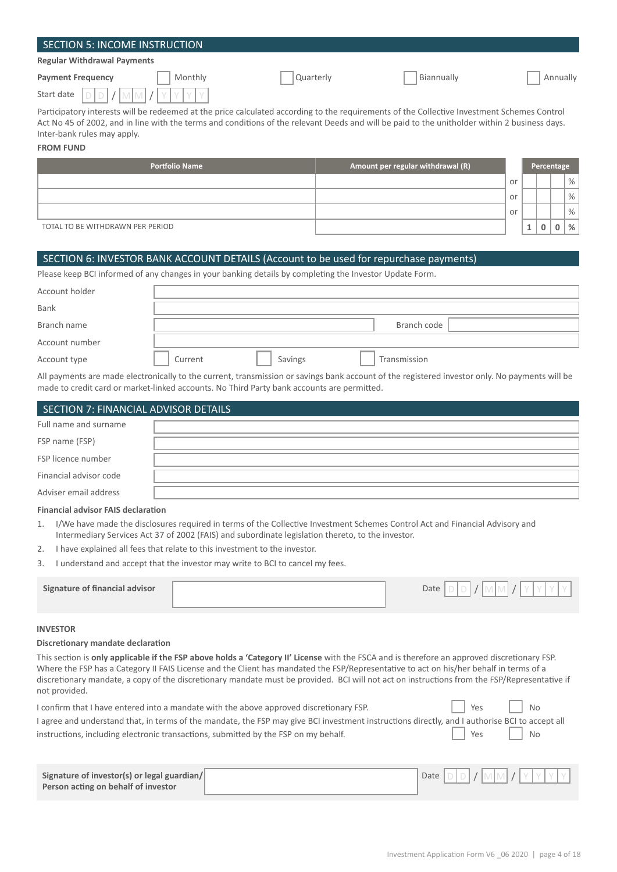## SECTION 5: INCOME INSTRUCTION

## **Regular Withdrawal Payments**

| <b>Payment Frequency</b>                                           | Monthly | Quarterly | Biannually | Annually |
|--------------------------------------------------------------------|---------|-----------|------------|----------|
| Start date $\boxed{D}$ $D$ / $\boxed{M}$ $M$ / $\boxed{Y}$ $Y$ $Y$ |         |           |            |          |

Participatory interests will be redeemed at the price calculated according to the requirements of the Collective Investment Schemes Control Act No 45 of 2002, and in line with the terms and conditions of the relevant Deeds and will be paid to the unitholder within 2 business days. Inter-bank rules may apply.

### **FROM FUND**

| <b>Portfolio Name</b>            | Amount per regular withdrawal $(R)$ | Percentage |  |  |   |
|----------------------------------|-------------------------------------|------------|--|--|---|
|                                  |                                     | or         |  |  | % |
|                                  |                                     | or         |  |  | % |
|                                  |                                     | or         |  |  | % |
| TOTAL TO BE WITHDRAWN PER PERIOD |                                     |            |  |  | % |

## SECTION 6: INVESTOR BANK ACCOUNT DETAILS (Account to be used for repurchase payments)

Please keep BCI informed of any changes in your banking details by completing the Investor Update Form.

| Account holder |         |         |                                                                                                                                             |
|----------------|---------|---------|---------------------------------------------------------------------------------------------------------------------------------------------|
| <b>Bank</b>    |         |         |                                                                                                                                             |
| Branch name    |         |         | Branch code                                                                                                                                 |
| Account number |         |         |                                                                                                                                             |
| Account type   | Current | Savings | Transmission                                                                                                                                |
|                |         |         | All noumants are mode clearatically to the quirement transmission area was heal consumt of the registered investor andy No noumants will be |

All payments are made electronically to the current, transmission or savings bank account of the registered investor only. No payments will be made to credit card or market-linked accounts. No Third Party bank accounts are permitted.

| SECTION 7: FINANCIAL ADVISOR DETAILS |  |  |  |  |  |
|--------------------------------------|--|--|--|--|--|
| Full name and surname                |  |  |  |  |  |
| FSP name (FSP)                       |  |  |  |  |  |
| FSP licence number                   |  |  |  |  |  |
| Financial advisor code               |  |  |  |  |  |
| Adviser email address                |  |  |  |  |  |

#### **Financial advisor FAIS declaration**

- 1. I/We have made the disclosures required in terms of the Collective Investment Schemes Control Act and Financial Advisory and Intermediary Services Act 37 of 2002 (FAIS) and subordinate legislation thereto, to the investor.
- 2. I have explained all fees that relate to this investment to the investor.
- 3. I understand and accept that the investor may write to BCI to cancel my fees.

| Signature of financial advisor | Date |
|--------------------------------|------|
|                                |      |

## **INVESTOR**

### **Discretionary mandate declaration**

This section is **only applicable if the FSP above holds a 'Category II' License** with the FSCA and is therefore an approved discretionary FSP. Where the FSP has a Category II FAIS License and the Client has mandated the FSP/Representative to act on his/her behalf in terms of a discretionary mandate, a copy of the discretionary mandate must be provided. BCI will not act on instructions from the FSP/Representative if not provided.

| I confirm that I have entered into a mandate with the above approved discretionary FSP.                                                      | Yes No |  |
|----------------------------------------------------------------------------------------------------------------------------------------------|--------|--|
| Lagree and understand that, in terms of the mandate, the FSP may give BCI investment instructions directly, and Lauthorise BCI to accept all |        |  |

| instructions, including electronic transactions, submitted by the FSP on my behalf. |  | $\Box$ Yes | $\Box$ No |  |
|-------------------------------------------------------------------------------------|--|------------|-----------|--|
|-------------------------------------------------------------------------------------|--|------------|-----------|--|

| Signature of investor(s) or legal guardian/ | $  \text{ Date }   \text{ D}   \text{ D}   /   \text{M}   \text{M}   /   \text{Y}   \text{Y}   \text{Y}   \text{Y}  .$ |  |  |  |  |  |
|---------------------------------------------|------------------------------------------------------------------------------------------------------------------------|--|--|--|--|--|
| Person acting on behalf of investor         |                                                                                                                        |  |  |  |  |  |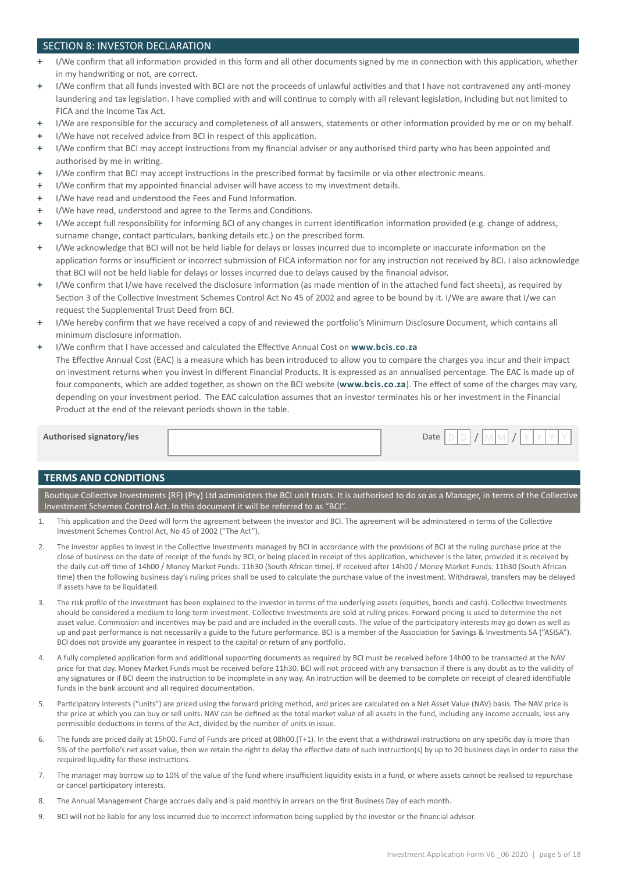## SECTION 8: INVESTOR DECLARATION

- **+** I/We confirm that all information provided in this form and all other documents signed by me in connection with this application, whether in my handwriting or not, are correct.
- **+** I/We confirm that all funds invested with BCI are not the proceeds of unlawful activities and that I have not contravened any anti-money laundering and tax legislation. I have complied with and will continue to comply with all relevant legislation, including but not limited to FICA and the Income Tax Act.
- **+** I/We are responsible for the accuracy and completeness of all answers, statements or other information provided by me or on my behalf.
- **+** I/We have not received advice from BCI in respect of this application.
- **+** I/We confirm that BCI may accept instructions from my financial adviser or any authorised third party who has been appointed and authorised by me in writing.
- **+** I/We confirm that BCI may accept instructions in the prescribed format by facsimile or via other electronic means.
- **+** I/We confirm that my appointed financial adviser will have access to my investment details.
- **+** I/We have read and understood the Fees and Fund Information.
- **+** I/We have read, understood and agree to the Terms and Conditions.
- **+** I/We accept full responsibility for informing BCI of any changes in current identification information provided (e.g. change of address, surname change, contact particulars, banking details etc.) on the prescribed form.
- **+** I/We acknowledge that BCI will not be held liable for delays or losses incurred due to incomplete or inaccurate information on the application forms or insufficient or incorrect submission of FICA information nor for any instruction not received by BCI. I also acknowledge that BCI will not be held liable for delays or losses incurred due to delays caused by the financial advisor.
- **+** I/We confirm that I/we have received the disclosure information (as made mention of in the attached fund fact sheets), as required by Section 3 of the Collective Investment Schemes Control Act No 45 of 2002 and agree to be bound by it. I/We are aware that I/we can request the Supplemental Trust Deed from BCI.
- **+** I/We hereby confirm that we have received a copy of and reviewed the portfolio's Minimum Disclosure Document, which contains all minimum disclosure information.
- **+** I/We confirm that I have accessed and calculated the Effective Annual Cost on **[www.bcis.co.za](http://www.bcis.co.za)**

The Effective Annual Cost (EAC) is a measure which has been introduced to allow you to compare the charges you incur and their impact on investment returns when you invest in different Financial Products. It is expressed as an annualised percentage. The EAC is made up of four components, which are added together, as shown on the BCI website (**www.bcis.co.za**). The effect of some of the charges may vary, depending on your investment period. The EAC calculation assumes that an investor terminates his or her investment in the Financial Product at the end of the relevant periods shown in the table.

## **Authorised signatory/ies**



## **TERMS AND CONDITIONS**

Boutique Collective Investments (RF) (Pty) Ltd administers the BCI unit trusts. It is authorised to do so as a Manager, in terms of the Collective Investment Schemes Control Act. In this document it will be referred to as "BCI".

- 1. This application and the Deed will form the agreement between the investor and BCI. The agreement will be administered in terms of the Collective Investment Schemes Control Act, No 45 of 2002 ("The Act").
- 2. The investor applies to invest in the Collective Investments managed by BCI in accordance with the provisions of BCI at the ruling purchase price at the close of business on the date of receipt of the funds by BCI, or being placed in receipt of this application, whichever is the later, provided it is received by the daily cut-off time of 14h00 / Money Market Funds: 11h30 (South African time). If received after 14h00 / Money Market Funds: 11h30 (South African time) then the following business day's ruling prices shall be used to calculate the purchase value of the investment. Withdrawal, transfers may be delayed if assets have to be liquidated.
- 3. The risk profile of the investment has been explained to the investor in terms of the underlying assets (equities, bonds and cash). Collective Investments should be considered a medium to long-term investment. Collective Investments are sold at ruling prices. Forward pricing is used to determine the net asset value. Commission and incentives may be paid and are included in the overall costs. The value of the participatory interests may go down as well as up and past performance is not necessarily a guide to the future performance. BCI is a member of the Association for Savings & Investments SA ("ASISA"). BCI does not provide any guarantee in respect to the capital or return of any portfolio.
- 4. A fully completed application form and additional supporting documents as required by BCI must be received before 14h00 to be transacted at the NAV price for that day. Money Market Funds must be received before 11h30. BCI will not proceed with any transaction if there is any doubt as to the validity of any signatures or if BCI deem the instruction to be incomplete in any way. An instruction will be deemed to be complete on receipt of cleared identifiable funds in the bank account and all required documentation.
- 5. Participatory interests ("units") are priced using the forward pricing method, and prices are calculated on a Net Asset Value (NAV) basis. The NAV price is the price at which you can buy or sell units. NAV can be defined as the total market value of all assets in the fund, including any income accruals, less any permissible deductions in terms of the Act, divided by the number of units in issue.
- 6. The funds are priced daily at 15h00. Fund of Funds are priced at 08h00 (T+1). In the event that a withdrawal instructions on any specific day is more than 5% of the portfolio's net asset value, then we retain the right to delay the effective date of such instruction(s) by up to 20 business days in order to raise the required liquidity for these instructions.
- 7. The manager may borrow up to 10% of the value of the fund where insufficient liquidity exists in a fund, or where assets cannot be realised to repurchase or cancel participatory interests.
- 8. The Annual Management Charge accrues daily and is paid monthly in arrears on the first Business Day of each month.
- 9. BCI will not be liable for any loss incurred due to incorrect information being supplied by the investor or the financial advisor.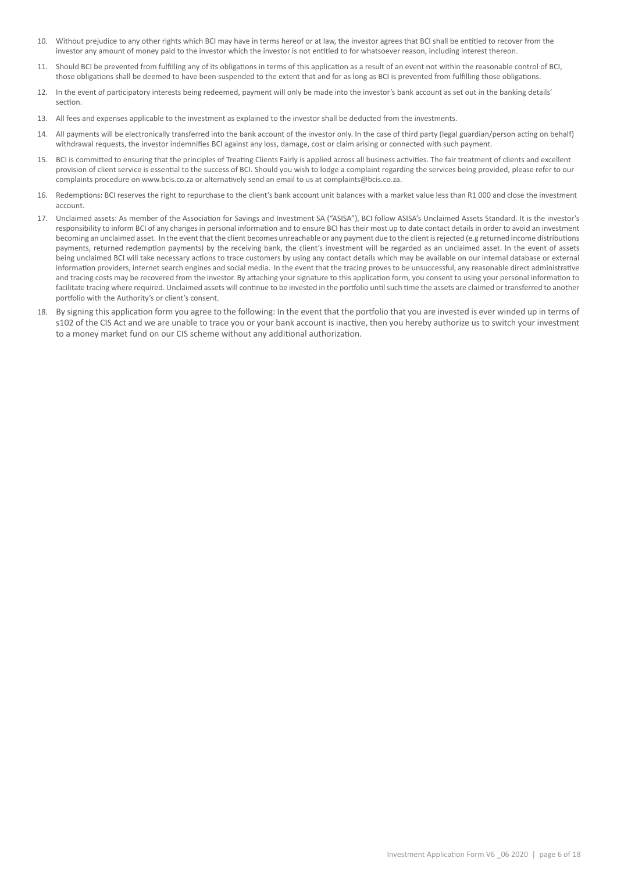- 10. Without prejudice to any other rights which BCI may have in terms hereof or at law, the investor agrees that BCI shall be entitled to recover from the investor any amount of money paid to the investor which the investor is not entitled to for whatsoever reason, including interest thereon.
- 11. Should BCI be prevented from fulfilling any of its obligations in terms of this application as a result of an event not within the reasonable control of BCI, those obligations shall be deemed to have been suspended to the extent that and for as long as BCI is prevented from fulfilling those obligations.
- 12. In the event of participatory interests being redeemed, payment will only be made into the investor's bank account as set out in the banking details' section.
- 13. All fees and expenses applicable to the investment as explained to the investor shall be deducted from the investments.
- 14. All payments will be electronically transferred into the bank account of the investor only. In the case of third party (legal guardian/person acting on behalf) withdrawal requests, the investor indemnifies BCI against any loss, damage, cost or claim arising or connected with such payment.
- 15. BCI is committed to ensuring that the principles of Treating Clients Fairly is applied across all business activities. The fair treatment of clients and excellent provision of client service is essential to the success of BCI. Should you wish to lodge a complaint regarding the services being provided, please refer to our complaints procedure on www.bcis.co.za or alternatively send an email to us at complaints@bcis.co.za.
- 16. Redemptions: BCI reserves the right to repurchase to the client's bank account unit balances with a market value less than R1 000 and close the investment account.
- 17. Unclaimed assets: As member of the Association for Savings and Investment SA ("ASISA"), BCI follow ASISA's Unclaimed Assets Standard. It is the investor's responsibility to inform BCI of any changes in personal information and to ensure BCI has their most up to date contact details in order to avoid an investment becoming an unclaimed asset. In the event that the client becomes unreachable or any payment due to the client is rejected (e.g returned income distributions payments, returned redemption payments) by the receiving bank, the client's investment will be regarded as an unclaimed asset. In the event of assets being unclaimed BCI will take necessary actions to trace customers by using any contact details which may be available on our internal database or external information providers, internet search engines and social media. In the event that the tracing proves to be unsuccessful, any reasonable direct administrative and tracing costs may be recovered from the investor. By attaching your signature to this application form, you consent to using your personal information to facilitate tracing where required. Unclaimed assets will continue to be invested in the portfolio until such time the assets are claimed or transferred to another portfolio with the Authority's or client's consent.
- 18. By signing this application form you agree to the following: In the event that the portfolio that you are invested is ever winded up in terms of s102 of the CIS Act and we are unable to trace you or your bank account is inactive, then you hereby authorize us to switch your investment to a money market fund on our CIS scheme without any additional authorization.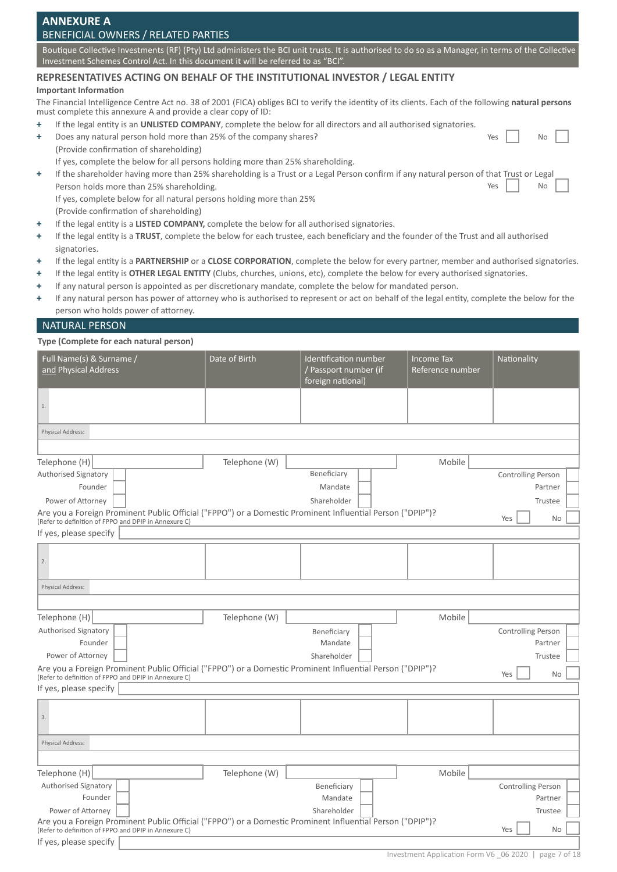## **ANNEXURE A**

## BENEFICIAL OWNERS / RELATED PARTIES

Boutique Collective Investments (RF) (Pty) Ltd administers the BCI unit trusts. It is authorised to do so as a Manager, in terms of the Collective Investment Schemes Control Act. In this document it will be referred to as "BCI".

## **REPRESENTATIVES ACTING ON BEHALF OF THE INSTITUTIONAL INVESTOR / LEGAL ENTITY**

## **Important Information**

The Financial Intelligence Centre Act no. 38 of 2001 (FICA) obliges BCI to verify the identity of its clients. Each of the following **natural persons**  must complete this annexure A and provide a clear copy of ID:

- **+** If the legal entity is an **UNLISTED COMPANY**, complete the below for all directors and all authorised signatories.
- **+** Does any natural person hold more than 25% of the company shares? (Provide confirmation of shareholding) If yes, complete the below for all persons holding more than 25% shareholding. Yes | | No
- **+** If the shareholder having more than 25% shareholding is a Trust or a Legal Person confirm if any natural person of that Trust or Legal Person holds more than 25% shareholding. Yes | No

If yes, complete below for all natural persons holding more than 25%

- (Provide confirmation of shareholding)
- **+** If the legal entity is a **LISTED COMPANY,** complete the below for all authorised signatories.
- **+** If the legal entity is a **TRUST**, complete the below for each trustee, each beneficiary and the founder of the Trust and all authorised signatories.
- **+** If the legal entity is a **PARTNERSHIP** or a **CLOSE CORPORATION**, complete the below for every partner, member and authorised signatories.
- **+** If the legal entity is **OTHER LEGAL ENTITY** (Clubs, churches, unions, etc), complete the below for every authorised signatories.
- **+** If any natural person is appointed as per discretionary mandate, complete the below for mandated person.
- **+** If any natural person has power of attorney who is authorised to represent or act on behalf of the legal entity, complete the below for the person who holds power of attorney.

## NATURAL PERSON

## **Type (Complete for each natural person)**

| Full Name(s) & Surname /<br>and Physical Address                                                                                                                  | Date of Birth | <b>Identification number</b><br>/ Passport number (if<br>foreign national) | <b>Income Tax</b><br>Reference number | Nationality               |
|-------------------------------------------------------------------------------------------------------------------------------------------------------------------|---------------|----------------------------------------------------------------------------|---------------------------------------|---------------------------|
| 1.                                                                                                                                                                |               |                                                                            |                                       |                           |
| Physical Address:                                                                                                                                                 |               |                                                                            |                                       |                           |
|                                                                                                                                                                   |               |                                                                            |                                       |                           |
| Telephone (H)                                                                                                                                                     | Telephone (W) |                                                                            | Mobile                                |                           |
| <b>Authorised Signatory</b>                                                                                                                                       |               | Beneficiary                                                                |                                       | Controlling Person        |
| Founder                                                                                                                                                           |               | Mandate                                                                    |                                       | Partner                   |
| Power of Attorney                                                                                                                                                 |               | Shareholder                                                                |                                       | Trustee                   |
| Are you a Foreign Prominent Public Official ("FPPO") or a Domestic Prominent Influential Person ("DPIP")?<br>(Refer to definition of FPPO and DPIP in Annexure C) |               |                                                                            |                                       | Yes<br>No                 |
| If yes, please specify                                                                                                                                            |               |                                                                            |                                       |                           |
|                                                                                                                                                                   |               |                                                                            |                                       |                           |
| $\vert$ 2.                                                                                                                                                        |               |                                                                            |                                       |                           |
| Physical Address:                                                                                                                                                 |               |                                                                            |                                       |                           |
|                                                                                                                                                                   |               |                                                                            |                                       |                           |
| Telephone (H)                                                                                                                                                     | Telephone (W) |                                                                            | Mobile                                |                           |
| Authorised Signatory                                                                                                                                              |               | Beneficiary                                                                |                                       | Controlling Person        |
| Founder                                                                                                                                                           |               | Mandate                                                                    |                                       | Partner                   |
| Power of Attorney                                                                                                                                                 |               | Shareholder                                                                |                                       | Trustee                   |
| Are you a Foreign Prominent Public Official ("FPPO") or a Domestic Prominent Influential Person ("DPIP")?<br>(Refer to definition of FPPO and DPIP in Annexure C) |               |                                                                            |                                       | Yes<br><b>No</b>          |
| If yes, please specify                                                                                                                                            |               |                                                                            |                                       |                           |
|                                                                                                                                                                   |               |                                                                            |                                       |                           |
| 3.                                                                                                                                                                |               |                                                                            |                                       |                           |
| Physical Address:                                                                                                                                                 |               |                                                                            |                                       |                           |
|                                                                                                                                                                   |               |                                                                            |                                       |                           |
| Telephone (H)                                                                                                                                                     | Telephone (W) |                                                                            | Mobile                                |                           |
| <b>Authorised Signatory</b>                                                                                                                                       |               | Beneficiary                                                                |                                       | <b>Controlling Person</b> |
| Founder                                                                                                                                                           |               | Mandate                                                                    |                                       | Partner                   |
| Power of Attorney                                                                                                                                                 |               | Shareholder                                                                |                                       | Trustee                   |
| Are you a Foreign Prominent Public Official ("FPPO") or a Domestic Prominent Influential Person ("DPIP")?<br>(Refer to definition of FPPO and DPIP in Annexure C) |               |                                                                            |                                       | Yes<br><b>No</b>          |
| If yes, please specify                                                                                                                                            |               |                                                                            |                                       |                           |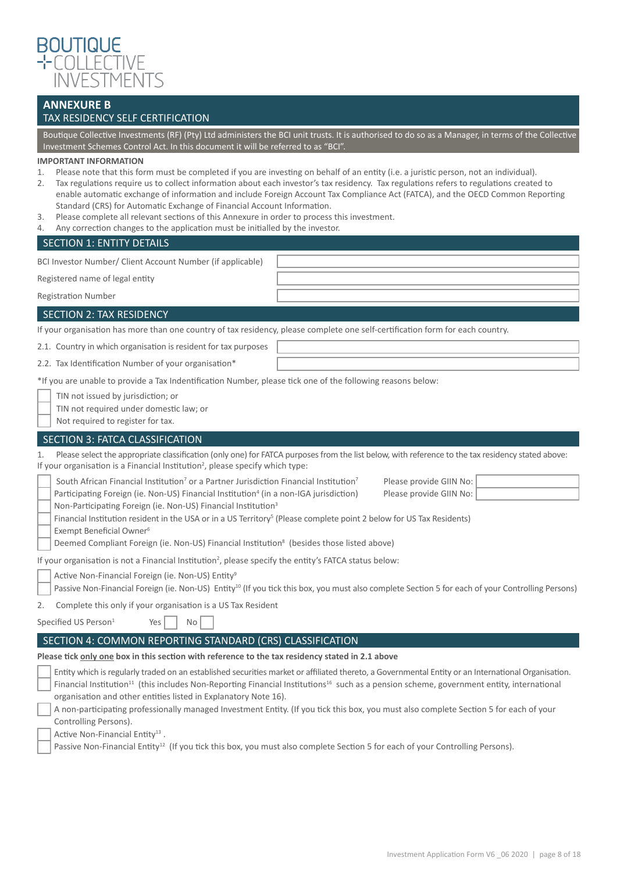

## **ANNEXURE B**

## TAX RESIDENCY SELF CERTIFICATION

Boutique Collective Investments (RF) (Pty) Ltd administers the BCI unit trusts. It is authorised to do so as a Manager, in terms of the Collective Investment Schemes Control Act. In this document it will be referred to as "BCI".

#### **IMPORTANT INFORMATION**

- 1. Please note that this form must be completed if you are investing on behalf of an entity (i.e. a juristic person, not an individual).
- 2. Tax regulations require us to collect information about each investor's tax residency. Tax regulations refers to regulations created to enable automatic exchange of information and include Foreign Account Tax Compliance Act (FATCA), and the OECD Common Reporting Standard (CRS) for Automatic Exchange of Financial Account Information.
- 3. Please complete all relevant sections of this Annexure in order to process this investment.
- 4. Any correction changes to the application must be initialled by the investor.

## SECTION 1: ENTITY DETAILS

BCI Investor Number/ Client Account Number (if applicable)

Registered name of legal entity

Registration Number

## SECTION 2: TAX RESIDENCY

If your organisation has more than one country of tax residency, please complete one self-certification form for each country.

2.1. Country in which organisation is resident for tax purposes

2.2. Tax Identification Number of your organisation\*

\*If you are unable to provide a Tax Indentification Number, please tick one of the following reasons below:

- TIN not issued by jurisdiction; or
- TIN not required under domestic law; or
- Not required to register for tax.

## SECTION 3: FATCA CLASSIFICATION

1. Please select the appropriate classification (only one) for FATCA purposes from the list below, with reference to the tax residency stated above:

If your organisation is a Financial Institution<sup>2</sup>, please specify which type:

 $\vert\phantom{a} \vert$  South African Financial Institution<sup>7</sup> or a Partner Jurisdiction Financial Institution<sup>7</sup>

 Please provide GIIN No: Participating Foreign (ie. Non-US) Financial Institution<sup>4</sup> (in a non-IGA jurisdiction) Please provide GIIN No:

- Non-Participating Foreign (ie. Non-US) Financial Institution<sup>3</sup>
- | | Financial Institution resident in the USA or in a US Territory<sup>5</sup> (Please complete point 2 below for US Tax Residents)
- Exempt Beneficial Owner<sup>6</sup>

| | Deemed Compliant Foreign (ie. Non-US) Financial Institution<sup>8</sup> (besides those listed above)

If your organisation is not a Financial Institution<sup>2</sup>, please specify the entity's FATCA status below:

Active Non-Financial Foreign (ie. Non-US) Entity9

- Passive Non-Financial Foreign (ie. Non-US) Entity<sup>10</sup> (If you tick this box, you must also complete Section 5 for each of your Controlling Persons)
- 2. Complete this only if your organisation is a US Tax Resident

Specified US Person<sup>1</sup> Yes No

## SECTION 4: COMMON REPORTING STANDARD (CRS) CLASSIFICATION

#### **Please tick only one box in this section with reference to the tax residency stated in 2.1 above**

Entity which is regularly traded on an established securities market or affiliated thereto, a Governmental Entity or an International Organisation.

Financial Institution<sup>11</sup> (this includes Non-Reporting Financial Institutions<sup>16</sup> such as a pension scheme, government entity, international

organisation and other entities listed in Explanatory Note 16).

| A non-participating professionally managed Investment Entity. (If you tick this box, you must also complete Section 5 for each of your |
|----------------------------------------------------------------------------------------------------------------------------------------|
| Controlling Persons).                                                                                                                  |

Active Non-Financial Entity<sup>13</sup>.

Passive Non-Financial Entity<sup>12</sup> (If you tick this box, you must also complete Section 5 for each of your Controlling Persons).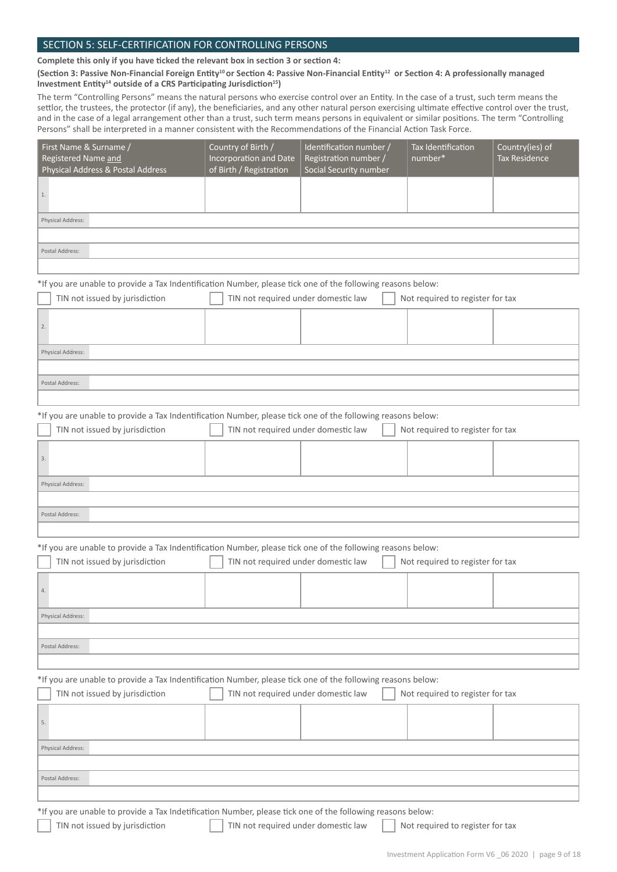## SECTION 5: SELF-CERTIFICATION FOR CONTROLLING PERSONS

## **Complete this only if you have ticked the relevant box in section 3 or section 4:**

## (Section 3: Passive Non-Financial Foreign Entity<sup>10</sup> or Section 4: Passive Non-Financial Entity<sup>12</sup> or Section 4: A professionally managed **Investment Entity<sup>14</sup> outside of a CRS Participating Jurisdiction<sup>15</sup>)**

The term "Controlling Persons" means the natural persons who exercise control over an Entity. In the case of a trust, such term means the settlor, the trustees, the protector (if any), the beneficiaries, and any other natural person exercising ultimate effective control over the trust, and in the case of a legal arrangement other than a trust, such term means persons in equivalent or similar positions. The term "Controlling

| $1.$<br>Physical Address:<br>Postal Address:<br>*If you are unable to provide a Tax Indentification Number, please tick one of the following reasons below:<br>TIN not issued by jurisdiction<br>TIN not required under domestic law<br>Not required to register for tax<br>2.<br>Physical Address:<br>Postal Address:<br>*If you are unable to provide a Tax Indentification Number, please tick one of the following reasons below:<br>TIN not issued by jurisdiction<br>TIN not required under domestic law<br>Not required to register for tax<br>3.<br>Physical Address:<br>Postal Address:<br>*If you are unable to provide a Tax Indentification Number, please tick one of the following reasons below:<br>TIN not issued by jurisdiction<br>TIN not required under domestic law<br>Not required to register for tax<br>4.<br>Physical Address:<br>Postal Address: | First Name & Surname /<br>Registered Name and<br>Physical Address & Postal Address | Country of Birth /<br>Incorporation and Date<br>of Birth / Registration | Identification number /<br>Registration number /<br>Social Security number | Tax Identification<br>number* | Country(ies) of<br><b>Tax Residence</b> |
|----------------------------------------------------------------------------------------------------------------------------------------------------------------------------------------------------------------------------------------------------------------------------------------------------------------------------------------------------------------------------------------------------------------------------------------------------------------------------------------------------------------------------------------------------------------------------------------------------------------------------------------------------------------------------------------------------------------------------------------------------------------------------------------------------------------------------------------------------------------------------|------------------------------------------------------------------------------------|-------------------------------------------------------------------------|----------------------------------------------------------------------------|-------------------------------|-----------------------------------------|
|                                                                                                                                                                                                                                                                                                                                                                                                                                                                                                                                                                                                                                                                                                                                                                                                                                                                            |                                                                                    |                                                                         |                                                                            |                               |                                         |
|                                                                                                                                                                                                                                                                                                                                                                                                                                                                                                                                                                                                                                                                                                                                                                                                                                                                            |                                                                                    |                                                                         |                                                                            |                               |                                         |
|                                                                                                                                                                                                                                                                                                                                                                                                                                                                                                                                                                                                                                                                                                                                                                                                                                                                            |                                                                                    |                                                                         |                                                                            |                               |                                         |
|                                                                                                                                                                                                                                                                                                                                                                                                                                                                                                                                                                                                                                                                                                                                                                                                                                                                            |                                                                                    |                                                                         |                                                                            |                               |                                         |
|                                                                                                                                                                                                                                                                                                                                                                                                                                                                                                                                                                                                                                                                                                                                                                                                                                                                            |                                                                                    |                                                                         |                                                                            |                               |                                         |
|                                                                                                                                                                                                                                                                                                                                                                                                                                                                                                                                                                                                                                                                                                                                                                                                                                                                            |                                                                                    |                                                                         |                                                                            |                               |                                         |
|                                                                                                                                                                                                                                                                                                                                                                                                                                                                                                                                                                                                                                                                                                                                                                                                                                                                            |                                                                                    |                                                                         |                                                                            |                               |                                         |
|                                                                                                                                                                                                                                                                                                                                                                                                                                                                                                                                                                                                                                                                                                                                                                                                                                                                            |                                                                                    |                                                                         |                                                                            |                               |                                         |
|                                                                                                                                                                                                                                                                                                                                                                                                                                                                                                                                                                                                                                                                                                                                                                                                                                                                            |                                                                                    |                                                                         |                                                                            |                               |                                         |
|                                                                                                                                                                                                                                                                                                                                                                                                                                                                                                                                                                                                                                                                                                                                                                                                                                                                            |                                                                                    |                                                                         |                                                                            |                               |                                         |
|                                                                                                                                                                                                                                                                                                                                                                                                                                                                                                                                                                                                                                                                                                                                                                                                                                                                            |                                                                                    |                                                                         |                                                                            |                               |                                         |
|                                                                                                                                                                                                                                                                                                                                                                                                                                                                                                                                                                                                                                                                                                                                                                                                                                                                            |                                                                                    |                                                                         |                                                                            |                               |                                         |
|                                                                                                                                                                                                                                                                                                                                                                                                                                                                                                                                                                                                                                                                                                                                                                                                                                                                            |                                                                                    |                                                                         |                                                                            |                               |                                         |
|                                                                                                                                                                                                                                                                                                                                                                                                                                                                                                                                                                                                                                                                                                                                                                                                                                                                            |                                                                                    |                                                                         |                                                                            |                               |                                         |
|                                                                                                                                                                                                                                                                                                                                                                                                                                                                                                                                                                                                                                                                                                                                                                                                                                                                            |                                                                                    |                                                                         |                                                                            |                               |                                         |
|                                                                                                                                                                                                                                                                                                                                                                                                                                                                                                                                                                                                                                                                                                                                                                                                                                                                            |                                                                                    |                                                                         |                                                                            |                               |                                         |
|                                                                                                                                                                                                                                                                                                                                                                                                                                                                                                                                                                                                                                                                                                                                                                                                                                                                            |                                                                                    |                                                                         |                                                                            |                               |                                         |
|                                                                                                                                                                                                                                                                                                                                                                                                                                                                                                                                                                                                                                                                                                                                                                                                                                                                            |                                                                                    |                                                                         |                                                                            |                               |                                         |
|                                                                                                                                                                                                                                                                                                                                                                                                                                                                                                                                                                                                                                                                                                                                                                                                                                                                            |                                                                                    |                                                                         |                                                                            |                               |                                         |
|                                                                                                                                                                                                                                                                                                                                                                                                                                                                                                                                                                                                                                                                                                                                                                                                                                                                            |                                                                                    |                                                                         |                                                                            |                               |                                         |
| *If you are unable to provide a Tax Indentification Number, please tick one of the following reasons below:                                                                                                                                                                                                                                                                                                                                                                                                                                                                                                                                                                                                                                                                                                                                                                |                                                                                    |                                                                         |                                                                            |                               |                                         |

| <b>THE HOL ISSUED BY JUILSUILLION</b>                                                                      | THE HOLTCHGHLOG GHUCH GOTHCSCIC REVE |  | <b>NOTIC QUILCO TO I CARGO TOI TOI TO</b> |  |  |  |  |  |  |
|------------------------------------------------------------------------------------------------------------|--------------------------------------|--|-------------------------------------------|--|--|--|--|--|--|
|                                                                                                            |                                      |  |                                           |  |  |  |  |  |  |
| Physical Address:                                                                                          |                                      |  |                                           |  |  |  |  |  |  |
|                                                                                                            |                                      |  |                                           |  |  |  |  |  |  |
| Postal Address:                                                                                            |                                      |  |                                           |  |  |  |  |  |  |
|                                                                                                            |                                      |  |                                           |  |  |  |  |  |  |
| *If you are unable to provide a Tax Indetification Number, please tick one of the following reasons below: |                                      |  |                                           |  |  |  |  |  |  |

TIN not issued by jurisdiction  $\vert \vert$  TIN not required under domestic law  $\vert \vert$  Not required to register for tax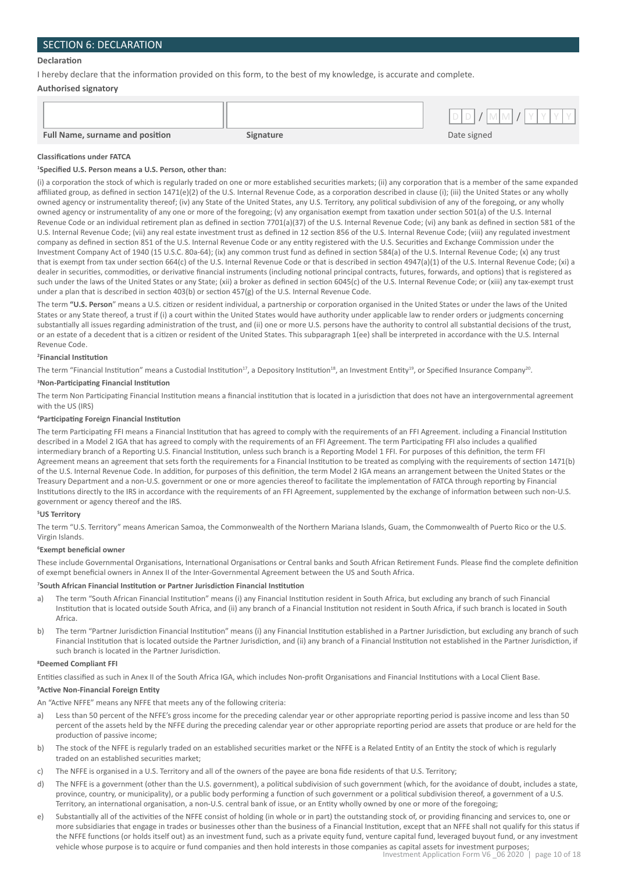## SECTION 6: DECLARATION

### **Declaration**

I hereby declare that the information provided on this form, to the best of my knowledge, is accurate and complete.

#### **Authorised signatory**

| Full Name, surname and position | Signature | Date signed |
|---------------------------------|-----------|-------------|
|                                 |           |             |

#### **Classifications under FATCA**

#### **1 Specified U.S. Person means a U.S. Person, other than:**

(i) a corporation the stock of which is regularly traded on one or more established securities markets; (ii) any corporation that is a member of the same expanded affiliated group, as defined in section 1471(e)(2) of the U.S. Internal Revenue Code, as a corporation described in clause (i); (iii) the United States or any wholly owned agency or instrumentality thereof; (iv) any State of the United States, any U.S. Territory, any political subdivision of any of the foregoing, or any wholly owned agency or instrumentality of any one or more of the foregoing; (v) any organisation exempt from taxation under section 501(a) of the U.S. Internal Revenue Code or an individual retirement plan as defined in section 7701(a)(37) of the U.S. Internal Revenue Code; (vi) any bank as defined in section 581 of the U.S. Internal Revenue Code; (vii) any real estate investment trust as defined in 12 section 856 of the U.S. Internal Revenue Code; (viii) any regulated investment company as defined in section 851 of the U.S. Internal Revenue Code or any entity registered with the U.S. Securities and Exchange Commission under the Investment Company Act of 1940 (15 U.S.C. 80a-64); (ix) any common trust fund as defined in section 584(a) of the U.S. Internal Revenue Code; (x) any trust that is exempt from tax under section 664(c) of the U.S. Internal Revenue Code or that is described in section 4947(a)(1) of the U.S. Internal Revenue Code; (xi) a dealer in securities, commodities, or derivative financial instruments (including notional principal contracts, futures, forwards, and options) that is registered as such under the laws of the United States or any State; (xii) a broker as defined in section 6045(c) of the U.S. Internal Revenue Code; or (xiii) any tax-exempt trust under a plan that is described in section 403(b) or section 457(g) of the U.S. Internal Revenue Code.

The term **"U.S. Person**" means a U.S. citizen or resident individual, a partnership or corporation organised in the United States or under the laws of the United States or any State thereof, a trust if (i) a court within the United States would have authority under applicable law to render orders or judgments concerning substantially all issues regarding administration of the trust, and (ii) one or more U.S. persons have the authority to control all substantial decisions of the trust, or an estate of a decedent that is a citizen or resident of the United States. This subparagraph 1(ee) shall be interpreted in accordance with the U.S. Internal Revenue Code.

#### **2 Financial Institution**

The term "Financial Institution" means a Custodial Institution<sup>17</sup>, a Depository Institution<sup>18</sup>, an Investment Entity<sup>19</sup>, or Specified Insurance Company<sup>20</sup>.

#### **3 Non-Participating Financial Institution**

The term Non Participating Financial Institution means a financial institution that is located in a jurisdiction that does not have an intergovernmental agreement with the US (IRS)

#### **4 Participating Foreign Financial Institution**

The term Participating FFI means a Financial Institution that has agreed to comply with the requirements of an FFI Agreement. including a Financial Institution described in a Model 2 IGA that has agreed to comply with the requirements of an FFI Agreement. The term Participating FFI also includes a qualified intermediary branch of a Reporting U.S. Financial Institution, unless such branch is a Reporting Model 1 FFI. For purposes of this definition, the term FFI Agreement means an agreement that sets forth the requirements for a Financial Institution to be treated as complying with the requirements of section 1471(b) of the U.S. Internal Revenue Code. In addition, for purposes of this definition, the term Model 2 IGA means an arrangement between the United States or the Treasury Department and a non-U.S. government or one or more agencies thereof to facilitate the implementation of FATCA through reporting by Financial Institutions directly to the IRS in accordance with the requirements of an FFI Agreement, supplemented by the exchange of information between such non-U.S. government or agency thereof and the IRS.

#### **5 US Territory**

The term "U.S. Territory" means American Samoa, the Commonwealth of the Northern Mariana Islands, Guam, the Commonwealth of Puerto Rico or the U.S. Virgin Islands.

#### **6 Exempt beneficial owner**

These include Governmental Organisations, International Organisations or Central banks and South African Retirement Funds. Please find the complete definition of exempt beneficial owners in Annex II of the Inter-Governmental Agreement between the US and South Africa.

#### **7 South African Financial Institution or Partner Jurisdiction Financial Institution**

- a) The term "South African Financial Institution" means (i) any Financial Institution resident in South Africa, but excluding any branch of such Financial Institution that is located outside South Africa, and (ii) any branch of a Financial Institution not resident in South Africa, if such branch is located in South Africa.
- b) The term "Partner Jurisdiction Financial Institution" means (i) any Financial Institution established in a Partner Jurisdiction, but excluding any branch of such Financial Institution that is located outside the Partner Jurisdiction, and (ii) any branch of a Financial Institution not established in the Partner Jurisdiction, if such branch is located in the Partner Jurisdiction.

#### **8 Deemed Compliant FFI**

Entities classified as such in Anex II of the South Africa IGA, which includes Non-profit Organisations and Financial Institutions with a Local Client Base.

#### **9 Active Non-Financial Foreign Entity**

An "Active NFFE" means any NFFE that meets any of the following criteria:

- a) Less than 50 percent of the NFFE's gross income for the preceding calendar year or other appropriate reporting period is passive income and less than 50 percent of the assets held by the NFFE during the preceding calendar year or other appropriate reporting period are assets that produce or are held for the production of passive income;
- b) The stock of the NFFE is regularly traded on an established securities market or the NFFE is a Related Entity of an Entity the stock of which is regularly traded on an established securities market;
- c) The NFFE is organised in a U.S. Territory and all of the owners of the payee are bona fide residents of that U.S. Territory;
- d) The NFFE is a government (other than the U.S. government), a political subdivision of such government (which, for the avoidance of doubt, includes a state, province, country, or municipality), or a public body performing a function of such government or a political subdivision thereof, a government of a U.S. Territory, an international organisation, a non-U.S. central bank of issue, or an Entity wholly owned by one or more of the foregoing;
- e) Substantially all of the activities of the NFFE consist of holding (in whole or in part) the outstanding stock of, or providing financing and services to, one or more subsidiaries that engage in trades or businesses other than the business of a Financial Institution, except that an NFFE shall not qualify for this status if the NFFE functions (or holds itself out) as an investment fund, such as a private equity fund, venture capital fund, leveraged buyout fund, or any investment vehicle whose purpose is to acquire or fund companies and then hold interests in those companies as capital assets for investment purposes;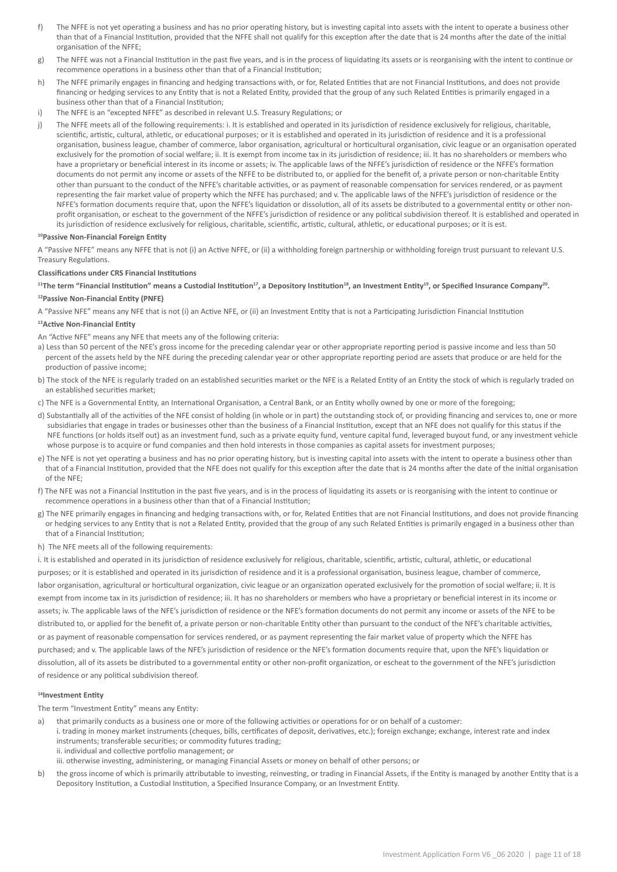- f) The NFFE is not yet operating a business and has no prior operating history, but is investing capital into assets with the intent to operate a business other than that of a Financial Institution, provided that the NFFE shall not qualify for this exception after the date that is 24 months after the date of the initial organisation of the NFFE;
- g) The NFFE was not a Financial Institution in the past five years, and is in the process of liquidating its assets or is reorganising with the intent to continue or recommence operations in a business other than that of a Financial Institution;
- h) The NFFE primarily engages in financing and hedging transactions with, or for, Related Entities that are not Financial Institutions, and does not provide financing or hedging services to any Entity that is not a Related Entity, provided that the group of any such Related Entities is primarily engaged in a business other than that of a Financial Institution;
- i) The NFFE is an "excepted NFFE" as described in relevant U.S. Treasury Regulations; or
- j) The NFFE meets all of the following requirements: i. It is established and operated in its jurisdiction of residence exclusively for religious, charitable, scientific, artistic, cultural, athletic, or educational purposes; or it is established and operated in its jurisdiction of residence and it is a professional organisation, business league, chamber of commerce, labor organisation, agricultural or horticultural organisation, civic league or an organisation operated exclusively for the promotion of social welfare; ii. It is exempt from income tax in its jurisdiction of residence; iii. It has no shareholders or members who have a proprietary or beneficial interest in its income or assets; iv. The applicable laws of the NFFE's jurisdiction of residence or the NFFE's formation documents do not permit any income or assets of the NFFE to be distributed to, or applied for the benefit of, a private person or non-charitable Entity other than pursuant to the conduct of the NFFE's charitable activities, or as payment of reasonable compensation for services rendered, or as payment representing the fair market value of property which the NFFE has purchased; and v. The applicable laws of the NFFE's jurisdiction of residence or the NFFE's formation documents require that, upon the NFFE's liquidation or dissolution, all of its assets be distributed to a governmental entity or other nonprofit organisation, or escheat to the government of the NFFE's jurisdiction of residence or any political subdivision thereof. It is established and operated in its jurisdiction of residence exclusively for religious, charitable, scientific, artistic, cultural, athletic, or educational purposes; or it is est.

#### **10Passive Non-Financial Foreign Entity**

A "Passive NFFE" means any NFFE that is not (i) an Active NFFE, or (ii) a withholding foreign partnership or withholding foreign trust pursuant to relevant U.S. Treasury Regulations.

#### **Classifications under CRS Financial Institutions**

## **11The term "Financial Institution" means a Custodial Institution17, a Depository Institution18, an Investment Entity19, or Specified Insurance Company<sup>20</sup>.**

### **12Passive Non-Financial Entity (PNFE)**

A "Passive NFE" means any NFE that is not (i) an Active NFE, or (ii) an Investment Entity that is not a Participating Jurisdiction Financial Institution

#### **13Active Non-Financial Entity**

An "Active NFE" means any NFE that meets any of the following criteria:

- a) Less than 50 percent of the NFE's gross income for the preceding calendar year or other appropriate reporting period is passive income and less than 50 percent of the assets held by the NFE during the preceding calendar year or other appropriate reporting period are assets that produce or are held for the production of passive income;
- b) The stock of the NFE is regularly traded on an established securities market or the NFE is a Related Entity of an Entity the stock of which is regularly traded on an established securities market;
- c) The NFE is a Governmental Entity, an International Organisation, a Central Bank, or an Entity wholly owned by one or more of the foregoing;
- d) Substantially all of the activities of the NFE consist of holding (in whole or in part) the outstanding stock of, or providing financing and services to, one or more subsidiaries that engage in trades or businesses other than the business of a Financial Institution, except that an NFE does not qualify for this status if the NFE functions (or holds itself out) as an investment fund, such as a private equity fund, venture capital fund, leveraged buyout fund, or any investment vehicle whose purpose is to acquire or fund companies and then hold interests in those companies as capital assets for investment purposes;
- e) The NFE is not yet operating a business and has no prior operating history, but is investing capital into assets with the intent to operate a business other than that of a Financial Institution, provided that the NFE does not qualify for this exception after the date that is 24 months after the date of the initial organisation of the NFE;
- f) The NFE was not a Financial Institution in the past five years, and is in the process of liquidating its assets or is reorganising with the intent to continue or recommence operations in a business other than that of a Financial Institution;
- g) The NFE primarily engages in financing and hedging transactions with, or for, Related Entities that are not Financial Institutions, and does not provide financing or hedging services to any Entity that is not a Related Entity, provided that the group of any such Related Entities is primarily engaged in a business other than that of a Financial Institution;
- h) The NFE meets all of the following requirements:

i. It is established and operated in its jurisdiction of residence exclusively for religious, charitable, scientific, artistic, cultural, athletic, or educational purposes; or it is established and operated in its jurisdiction of residence and it is a professional organisation, business league, chamber of commerce, labor organisation, agricultural or horticultural organization, civic league or an organization operated exclusively for the promotion of social welfare; ii. It is exempt from income tax in its jurisdiction of residence; iii. It has no shareholders or members who have a proprietary or beneficial interest in its income or assets; iv. The applicable laws of the NFE's jurisdiction of residence or the NFE's formation documents do not permit any income or assets of the NFE to be distributed to, or applied for the benefit of, a private person or non-charitable Entity other than pursuant to the conduct of the NFE's charitable activities, or as payment of reasonable compensation for services rendered, or as payment representing the fair market value of property which the NFFE has purchased; and v. The applicable laws of the NFE's jurisdiction of residence or the NFE's formation documents require that, upon the NFE's liquidation or dissolution, all of its assets be distributed to a governmental entity or other non-profit organization, or escheat to the government of the NFE's jurisdiction of residence or any political subdivision thereof.

#### **14Investment Entity**

The term "Investment Entity" means any Entity:

- a) that primarily conducts as a business one or more of the following activities or operations for or on behalf of a customer: i. trading in money market instruments (cheques, bills, certificates of deposit, derivatives, etc.); foreign exchange; exchange, interest rate and index instruments; transferable securities; or commodity futures trading; ii. individual and collective portfolio management; or iii. otherwise investing, administering, or managing Financial Assets or money on behalf of other persons; or
- b) the gross income of which is primarily attributable to investing, reinvesting, or trading in Financial Assets, if the Entity is managed by another Entity that is a Depository Institution, a Custodial Institution, a Specified Insurance Company, or an Investment Entity.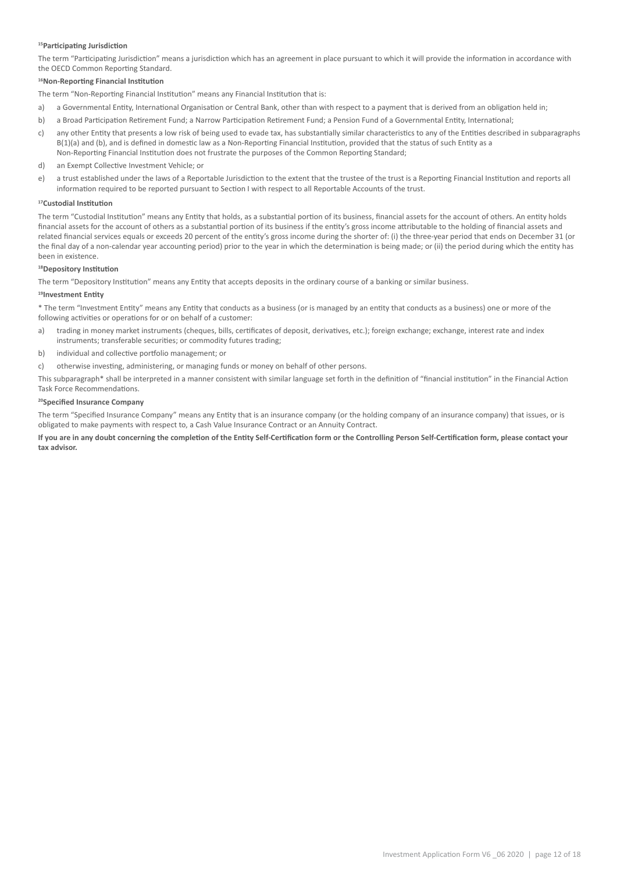#### **15Participating Jurisdiction**

The term "Participating Jurisdiction" means a jurisdiction which has an agreement in place pursuant to which it will provide the information in accordance with the OECD Common Reporting Standard.

### **16Non-Reporting Financial Institution**

The term "Non-Reporting Financial Institution" means any Financial Institution that is:

- a) a Governmental Entity, International Organisation or Central Bank, other than with respect to a payment that is derived from an obligation held in;
- b) a Broad Participation Retirement Fund; a Narrow Participation Retirement Fund; a Pension Fund of a Governmental Entity, International;
- c) any other Entity that presents a low risk of being used to evade tax, has substantially similar characteristics to any of the Entities described in subparagraphs B(1)(a) and (b), and is defined in domestic law as a Non-Reporting Financial Institution, provided that the status of such Entity as a Non-Reporting Financial Institution does not frustrate the purposes of the Common Reporting Standard;
- d) an Exempt Collective Investment Vehicle; or
- e) a trust established under the laws of a Reportable Jurisdiction to the extent that the trustee of the trust is a Reporting Financial Institution and reports all information required to be reported pursuant to Section I with respect to all Reportable Accounts of the trust.

#### **17Custodial Institution**

The term "Custodial Institution" means any Entity that holds, as a substantial portion of its business, financial assets for the account of others. An entity holds financial assets for the account of others as a substantial portion of its business if the entity's gross income attributable to the holding of financial assets and related financial services equals or exceeds 20 percent of the entity's gross income during the shorter of: (i) the three-year period that ends on December 31 (or the final day of a non-calendar year accounting period) prior to the year in which the determination is being made; or (ii) the period during which the entity has been in existence.

#### **18Depository Institution**

The term "Depository Institution" means any Entity that accepts deposits in the ordinary course of a banking or similar business.

#### **19Investment Entity**

\* The term "Investment Entity" means any Entity that conducts as a business (or is managed by an entity that conducts as a business) one or more of the following activities or operations for or on behalf of a customer:

- a) trading in money market instruments (cheques, bills, certificates of deposit, derivatives, etc.); foreign exchange; exchange, interest rate and index instruments; transferable securities; or commodity futures trading;
- b) individual and collective portfolio management; or
- c) otherwise investing, administering, or managing funds or money on behalf of other persons.

This subparagraph\* shall be interpreted in a manner consistent with similar language set forth in the definition of "financial institution" in the Financial Action Task Force Recommendations.

#### **<sup>20</sup>Specified Insurance Company**

The term "Specified Insurance Company" means any Entity that is an insurance company (or the holding company of an insurance company) that issues, or is obligated to make payments with respect to, a Cash Value Insurance Contract or an Annuity Contract.

**If you are in any doubt concerning the completion of the Entity Self-Certification form or the Controlling Person Self-Certification form, please contact your tax advisor.**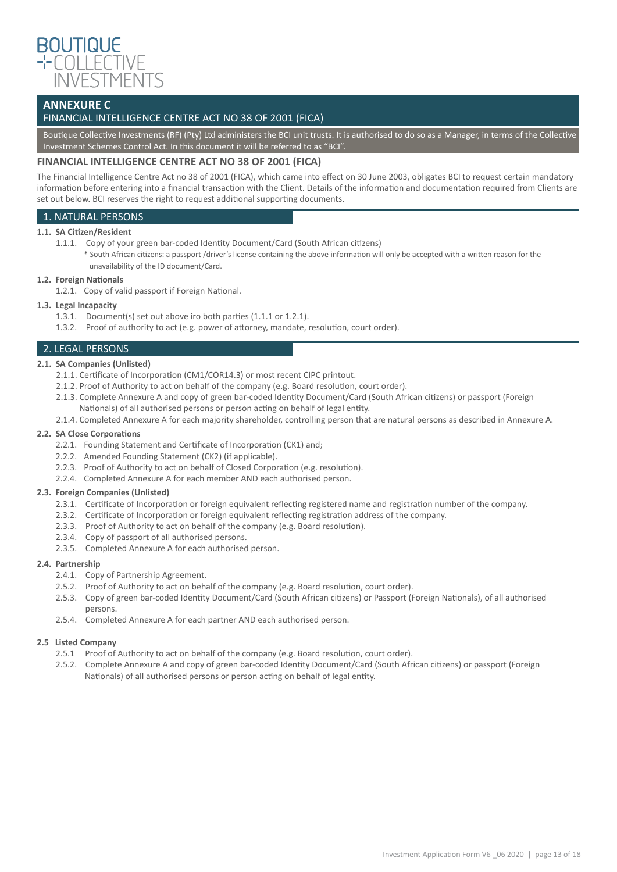

## **ANNEXURE C**

## FINANCIAL INTELLIGENCE CENTRE ACT NO 38 OF 2001 (FICA)

Boutique Collective Investments (RF) (Pty) Ltd administers the BCI unit trusts. It is authorised to do so as a Manager, in terms of the Collective Investment Schemes Control Act. In this document it will be referred to as "BCI".

## **FINANCIAL INTELLIGENCE CENTRE ACT NO 38 OF 2001 (FICA)**

The Financial Intelligence Centre Act no 38 of 2001 (FICA), which came into effect on 30 June 2003, obligates BCI to request certain mandatory information before entering into a financial transaction with the Client. Details of the information and documentation required from Clients are set out below. BCI reserves the right to request additional supporting documents.

## 1. NATURAL PERSONS

## **1.1. SA Citizen/Resident**

- 1.1.1. Copy of your green bar-coded Identity Document/Card (South African citizens)
	- \* South African citizens: a passport /driver's license containing the above information will only be accepted with a written reason for the unavailability of the ID document/Card.

### **1.2. Foreign Nationals**

1.2.1. Copy of valid passport if Foreign National.

### **1.3. Legal Incapacity**

- 1.3.1. Document(s) set out above iro both parties (1.1.1 or 1.2.1).
- 1.3.2. Proof of authority to act (e.g. power of attorney, mandate, resolution, court order).

## 2. LEGAL PERSONS

### **2.1. SA Companies (Unlisted)**

- 2.1.1. Certificate of Incorporation (CM1/COR14.3) or most recent CIPC printout.
- 2.1.2. Proof of Authority to act on behalf of the company (e.g. Board resolution, court order).
- 2.1.3. Complete Annexure A and copy of green bar-coded Identity Document/Card (South African citizens) or passport (Foreign Nationals) of all authorised persons or person acting on behalf of legal entity.
- 2.1.4. Completed Annexure A for each majority shareholder, controlling person that are natural persons as described in Annexure A.

#### **2.2. SA Close Corporations**

- 2.2.1. Founding Statement and Certificate of Incorporation (CK1) and;
- 2.2.2. Amended Founding Statement (CK2) (if applicable).
- 2.2.3. Proof of Authority to act on behalf of Closed Corporation (e.g. resolution).
- 2.2.4. Completed Annexure A for each member AND each authorised person.

#### **2.3. Foreign Companies (Unlisted)**

- 2.3.1. Certificate of Incorporation or foreign equivalent reflecting registered name and registration number of the company.
- 2.3.2. Certificate of Incorporation or foreign equivalent reflecting registration address of the company.
- 2.3.3. Proof of Authority to act on behalf of the company (e.g. Board resolution).
- 2.3.4. Copy of passport of all authorised persons.
- 2.3.5. Completed Annexure A for each authorised person.

#### **2.4. Partnership**

- 2.4.1. Copy of Partnership Agreement.
- 2.5.2. Proof of Authority to act on behalf of the company (e.g. Board resolution, court order).
- 2.5.3. Copy of green bar-coded Identity Document/Card (South African citizens) or Passport (Foreign Nationals), of all authorised persons.
- 2.5.4. Completed Annexure A for each partner AND each authorised person.

#### **2.5 Listed Company**

- 2.5.1 Proof of Authority to act on behalf of the company (e.g. Board resolution, court order).
- 2.5.2. Complete Annexure A and copy of green bar-coded Identity Document/Card (South African citizens) or passport (Foreign Nationals) of all authorised persons or person acting on behalf of legal entity.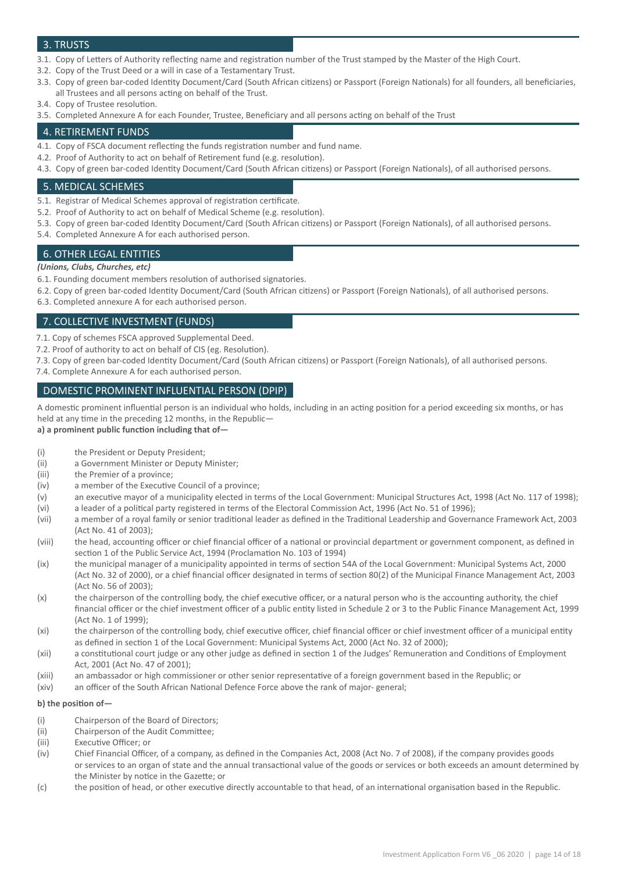## 3. TRUSTS

- 3.1. Copy of Letters of Authority reflecting name and registration number of the Trust stamped by the Master of the High Court.
- 3.2. Copy of the Trust Deed or a will in case of a Testamentary Trust.
- 3.3. Copy of green bar-coded Identity Document/Card (South African citizens) or Passport (Foreign Nationals) for all founders, all beneficiaries, all Trustees and all persons acting on behalf of the Trust.
- 3.4. Copy of Trustee resolution.
- 3.5. Completed Annexure A for each Founder, Trustee, Beneficiary and all persons acting on behalf of the Trust

## 4. RETIREMENT FUNDS

- 4.1. Copy of FSCA document reflecting the funds registration number and fund name.
- 4.2. Proof of Authority to act on behalf of Retirement fund (e.g. resolution).
- 4.3. Copy of green bar-coded Identity Document/Card (South African citizens) or Passport (Foreign Nationals), of all authorised persons.

## 5. MEDICAL SCHEMES

- 5.1. Registrar of Medical Schemes approval of registration certificate.
- 5.2. Proof of Authority to act on behalf of Medical Scheme (e.g. resolution).
- 5.3. Copy of green bar-coded Identity Document/Card (South African citizens) or Passport (Foreign Nationals), of all authorised persons.
- 5.4. Completed Annexure A for each authorised person.

## 6. OTHER LEGAL ENTITIES

## *(Unions, Clubs, Churches, etc)*

- 6.1. Founding document members resolution of authorised signatories.
- 6.2. Copy of green bar-coded Identity Document/Card (South African citizens) or Passport (Foreign Nationals), of all authorised persons.
- 6.3. Completed annexure A for each authorised person.

## 7. COLLECTIVE INVESTMENT (FUNDS)

- 7.1. Copy of schemes FSCA approved Supplemental Deed.
- 7.2. Proof of authority to act on behalf of CIS (eg. Resolution).
- 7.3. Copy of green bar-coded Identity Document/Card (South African citizens) or Passport (Foreign Nationals), of all authorised persons.
- 7.4. Complete Annexure A for each authorised person.

## DOMESTIC PROMINENT INFLUENTIAL PERSON (DPIP)

A domestic prominent influential person is an individual who holds, including in an acting position for a period exceeding six months, or has held at any time in the preceding 12 months, in the Republic—

## **a) a prominent public function including that of—**

- (i) the President or Deputy President;
- (ii) a Government Minister or Deputy Minister;
- (iii) the Premier of a province;
- (iv) a member of the Executive Council of a province;
- (v) an executive mayor of a municipality elected in terms of the Local Government: Municipal Structures Act, 1998 (Act No. 117 of 1998);
- (vi) a leader of a political party registered in terms of the Electoral Commission Act, 1996 (Act No. 51 of 1996);
- (vii) a member of a royal family or senior traditional leader as defined in the Traditional Leadership and Governance Framework Act, 2003 (Act No. 41 of 2003);
- (viii) the head, accounting officer or chief financial officer of a national or provincial department or government component, as defined in section 1 of the Public Service Act, 1994 (Proclamation No. 103 of 1994)
- (ix) the municipal manager of a municipality appointed in terms of section 54A of the Local Government: Municipal Systems Act, 2000 (Act No. 32 of 2000), or a chief financial officer designated in terms of section 80(2) of the Municipal Finance Management Act, 2003 (Act No. 56 of 2003);
- (x) the chairperson of the controlling body, the chief executive officer, or a natural person who is the accounting authority, the chief financial officer or the chief investment officer of a public entity listed in Schedule 2 or 3 to the Public Finance Management Act, 1999 (Act No. 1 of 1999);
- (xi) the chairperson of the controlling body, chief executive officer, chief financial officer or chief investment officer of a municipal entity as defined in section 1 of the Local Government: Municipal Systems Act, 2000 (Act No. 32 of 2000);
- (xii) a constitutional court judge or any other judge as defined in section 1 of the Judges' Remuneration and Conditions of Employment Act, 2001 (Act No. 47 of 2001);
- (xiii) an ambassador or high commissioner or other senior representative of a foreign government based in the Republic; or
- (xiv) an officer of the South African National Defence Force above the rank of major- general;

#### **b) the position of—**

- (i) Chairperson of the Board of Directors;
- (ii) Chairperson of the Audit Committee;
- (iii) Executive Officer; or
- (iv) Chief Financial Officer, of a company, as defined in the Companies Act, 2008 (Act No. 7 of 2008), if the company provides goods or services to an organ of state and the annual transactional value of the goods or services or both exceeds an amount determined by the Minister by notice in the Gazette; or
- (c) the position of head, or other executive directly accountable to that head, of an international organisation based in the Republic.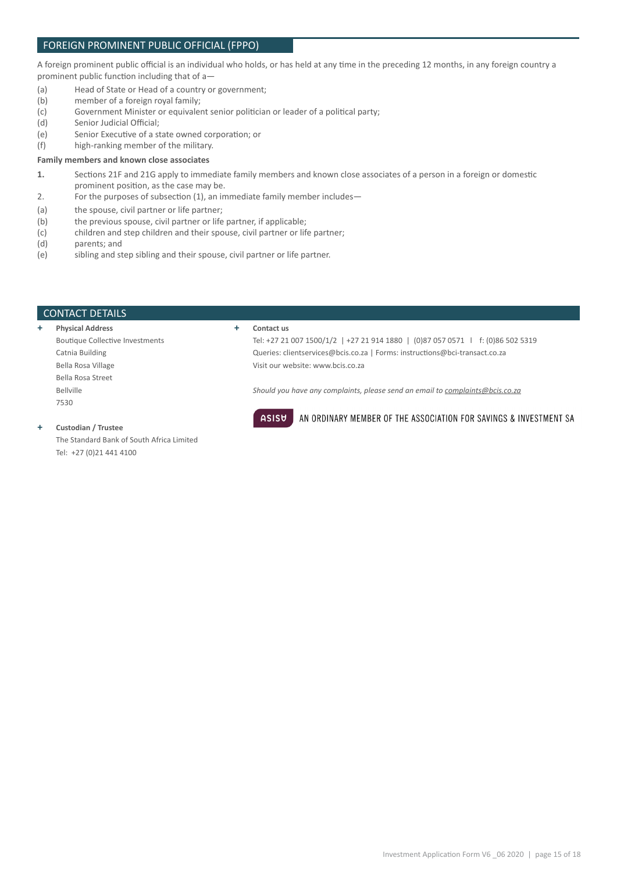## FOREIGN PROMINENT PUBLIC OFFICIAL (FPPO)

A foreign prominent public official is an individual who holds, or has held at any time in the preceding 12 months, in any foreign country a prominent public function including that of a—

- (a) Head of State or Head of a country or government;
- (b) member of a foreign royal family;
- (c) Government Minister or equivalent senior politician or leader of a political party;
- (d) Senior Judicial Official;
- (e) Senior Executive of a state owned corporation; or

(f) high-ranking member of the military.

## **Family members and known close associates**

- **1.** Sections 21F and 21G apply to immediate family members and known close associates of a person in a foreign or domestic prominent position, as the case may be.
- 2. For the purposes of subsection (1), an immediate family member includes-
- (a) the spouse, civil partner or life partner;
- (b) the previous spouse, civil partner or life partner, if applicable;
- (c) children and step children and their spouse, civil partner or life partner;
- (d) parents; and
- (e) sibling and step sibling and their spouse, civil partner or life partner.

|   | <b>CONTACT DETAILS</b>                 |                                                                                   |
|---|----------------------------------------|-----------------------------------------------------------------------------------|
| ÷ | <b>Physical Address</b>                | Contact us                                                                        |
|   | <b>Boutique Collective Investments</b> | Tel: +27 21 007 1500/1/2   +27 21 914 1880   (0)87 057 0571   f: (0)86 502 5319   |
|   | Catnia Building                        | Queries: clientservices@bcis.co.za   Forms: instructions@bci-transact.co.za       |
|   | Bella Rosa Village                     | Visit our website: www.bcis.co.za                                                 |
|   | Bella Rosa Street                      |                                                                                   |
|   | <b>Bellville</b>                       | Should you have any complaints, please send an email to complaints@bcis.co.za     |
|   | 7530                                   |                                                                                   |
|   | Custodian / Trustee                    | <b>ASISH</b><br>AN ORDINARY MEMBER OF THE ASSOCIATION FOR SAVINGS & INVESTMENT SA |

**+ Custodian / Trustee**

The Standard Bank of South Africa Limited Tel: +27 (0)21 441 4100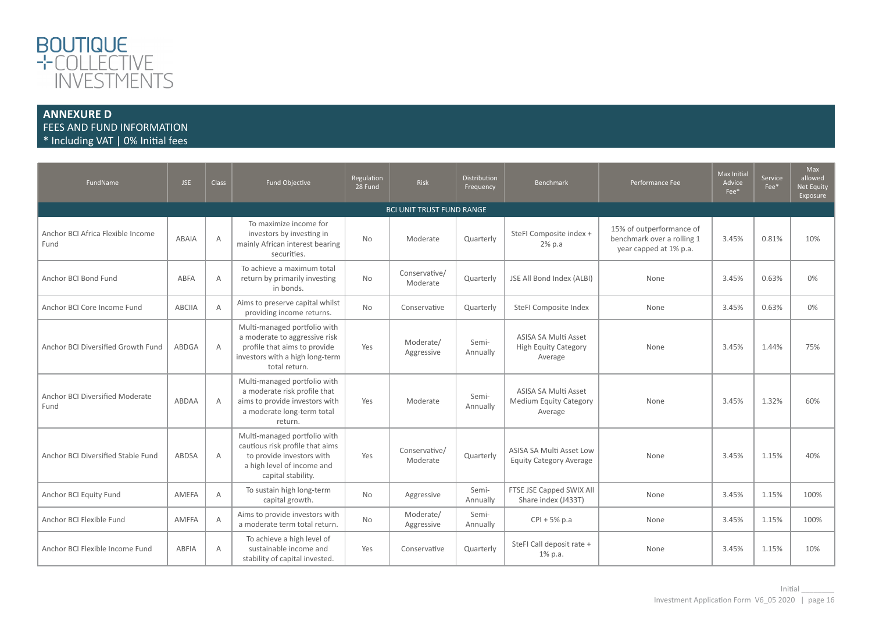

## **ANNEXURE D** FEES AND FUND INFORMATION \* Including VAT | 0% Initial fees

| FundName                                  | <b>JSE</b>    | <b>Class</b> | Fund Objective                                                                                                                                    | Regulation<br>28 Fund | Risk                      | Distribution<br>Frequency | Benchmark                                                         | Performance Fee                                                                  | <b>Max Initial</b><br>Advice<br>Fee* | Service<br>Fee* | <b>Max</b><br>allowed<br><b>Net Equity</b><br>Exposure |
|-------------------------------------------|---------------|--------------|---------------------------------------------------------------------------------------------------------------------------------------------------|-----------------------|---------------------------|---------------------------|-------------------------------------------------------------------|----------------------------------------------------------------------------------|--------------------------------------|-----------------|--------------------------------------------------------|
| <b>BCI UNIT TRUST FUND RANGE</b>          |               |              |                                                                                                                                                   |                       |                           |                           |                                                                   |                                                                                  |                                      |                 |                                                        |
| Anchor BCI Africa Flexible Income<br>Fund | ABAIA         | A            | To maximize income for<br>investors by investing in<br>mainly African interest bearing<br>securities.                                             | No                    | Moderate                  | Quarterly                 | SteFI Composite index +<br>2% p.a                                 | 15% of outperformance of<br>benchmark over a rolling 1<br>year capped at 1% p.a. | 3.45%                                | 0.81%           | 10%                                                    |
| Anchor BCI Bond Fund                      | ABFA          | A            | To achieve a maximum total<br>return by primarily investing<br>in bonds.                                                                          | No                    | Conservative/<br>Moderate | Quarterly                 | JSE All Bond Index (ALBI)                                         | None                                                                             | 3.45%                                | 0.63%           | 0%                                                     |
| Anchor BCI Core Income Fund               | <b>ABCIIA</b> | A            | Aims to preserve capital whilst<br>providing income returns.                                                                                      | <b>No</b>             | Conservative              | Quarterly                 | SteFI Composite Index                                             | None                                                                             | 3.45%                                | 0.63%           | 0%                                                     |
| Anchor BCI Diversified Growth Fund        | ABDGA         | Α            | Multi-managed portfolio with<br>a moderate to aggressive risk<br>profile that aims to provide<br>investors with a high long-term<br>total return. | Yes                   | Moderate/<br>Aggressive   | Semi-<br>Annually         | ASISA SA Multi Asset<br><b>High Equity Category</b><br>Average    | None                                                                             | 3.45%                                | 1.44%           | 75%                                                    |
| Anchor BCI Diversified Moderate<br>Fund   | ABDAA         | A            | Multi-managed portfolio with<br>a moderate risk profile that<br>aims to provide investors with<br>a moderate long-term total<br>return.           | Yes                   | Moderate                  | Semi-<br>Annually         | ASISA SA Multi Asset<br><b>Medium Equity Category</b><br>Average  | None                                                                             | 3.45%                                | 1.32%           | 60%                                                    |
| Anchor BCI Diversified Stable Fund        | ABDSA         | Α            | Multi-managed portfolio with<br>cautious risk profile that aims<br>to provide investors with<br>a high level of income and<br>capital stability.  | Yes                   | Conservative/<br>Moderate | Quarterly                 | <b>ASISA SA Multi Asset Low</b><br><b>Equity Category Average</b> | None                                                                             | 3.45%                                | 1.15%           | 40%                                                    |
| Anchor BCI Equity Fund                    | AMEFA         | Α            | To sustain high long-term<br>capital growth.                                                                                                      | No                    | Aggressive                | Semi-<br>Annually         | FTSE JSE Capped SWIX All<br>Share index (J433T)                   | None                                                                             | 3.45%                                | 1.15%           | 100%                                                   |
| Anchor BCI Flexible Fund                  | <b>AMFFA</b>  | $\mathsf{A}$ | Aims to provide investors with<br>a moderate term total return.                                                                                   | <b>No</b>             | Moderate/<br>Aggressive   | Semi-<br>Annually         | $CPI + 5% p.a$                                                    | None                                                                             | 3.45%                                | 1.15%           | 100%                                                   |
| Anchor BCI Flexible Income Fund           | ABFIA         | A            | To achieve a high level of<br>sustainable income and<br>stability of capital invested.                                                            | Yes                   | Conservative              | Quarterly                 | SteFI Call deposit rate +<br>1% p.a.                              | None                                                                             | 3.45%                                | 1.15%           | 10%                                                    |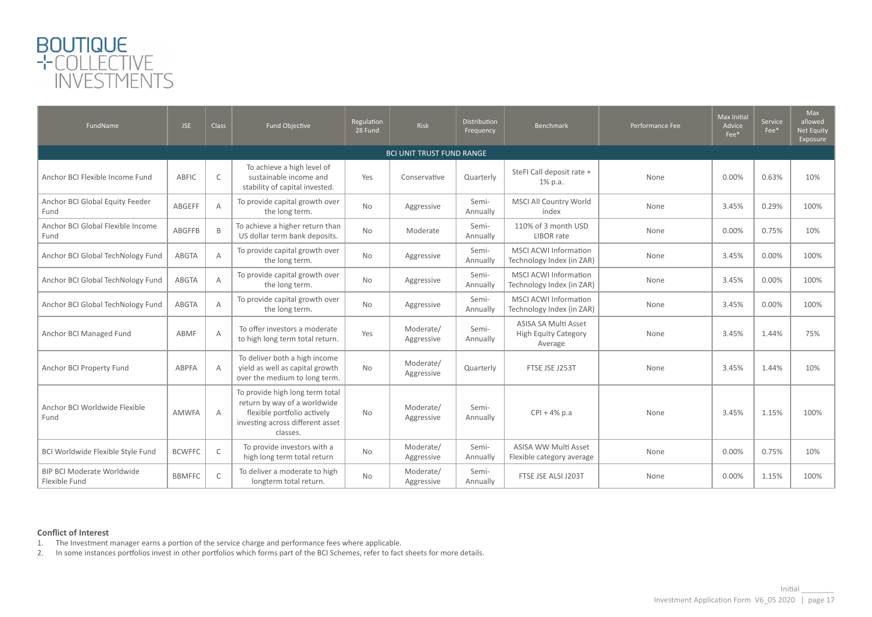

| FundName                                           | <b>JSE</b>    | <b>Class</b>   | <b>Fund Objective</b>                                                                                                                          | Regulation<br>28 Fund | Risk                    | Distribution<br>Frequency | <b>Benchmark</b>                                               | Performance Fee | Max Initial<br>Advice<br>Fee* | Service<br>Fee* | <b>Max</b><br>allowed<br><b>Net Equity</b><br>Exposure |
|----------------------------------------------------|---------------|----------------|------------------------------------------------------------------------------------------------------------------------------------------------|-----------------------|-------------------------|---------------------------|----------------------------------------------------------------|-----------------|-------------------------------|-----------------|--------------------------------------------------------|
| <b>BCI UNIT TRUST FUND RANGE</b>                   |               |                |                                                                                                                                                |                       |                         |                           |                                                                |                 |                               |                 |                                                        |
| Anchor BCI Flexible Income Fund                    | ABFIC         | $\mathsf{C}$   | To achieve a high level of<br>sustainable income and<br>stability of capital invested.                                                         | Yes                   | Conservative            | Quarterly                 | SteFI Call deposit rate +<br>1% p.a.                           | None            | 0.00%                         | 0.63%           | 10%                                                    |
| Anchor BCI Global Equity Feeder<br>Fund            | <b>ABGEFF</b> | $\overline{A}$ | To provide capital growth over<br>the long term.                                                                                               | <b>No</b>             | Aggressive              | Semi-<br>Annually         | MSCI All Country World<br>index                                | None            | 3.45%                         | 0.29%           | 100%                                                   |
| Anchor BCI Global Flexible Income<br>Fund          | <b>ABGFFB</b> | B              | To achieve a higher return than<br>US dollar term bank deposits.                                                                               | <b>No</b>             | Moderate                | Semi-<br>Annually         | 110% of 3 month USD<br>LIBOR rate                              | None            | 0.00%                         | 0.75%           | 10%                                                    |
| Anchor BCI Global TechNology Fund                  | <b>ABGTA</b>  | A              | To provide capital growth over<br>the long term.                                                                                               | No                    | Aggressive              | Semi-<br>Annually         | <b>MSCI ACWI Information</b><br>Technology Index (in ZAR)      | None            | 3.45%                         | 0.00%           | 100%                                                   |
| Anchor BCI Global TechNology Fund                  | <b>ABGTA</b>  | A              | To provide capital growth over<br>the long term.                                                                                               | <b>No</b>             | Aggressive              | Semi-<br>Annually         | <b>MSCI ACWI Information</b><br>Technology Index (in ZAR)      | None            | 3.45%                         | 0.00%           | 100%                                                   |
| Anchor BCI Global TechNology Fund                  | <b>ABGTA</b>  | $\overline{A}$ | To provide capital growth over<br>the long term.                                                                                               | <b>No</b>             | Aggressive              | Semi-<br>Annually         | <b>MSCI ACWI Information</b><br>Technology Index (in ZAR)      | None            | 3.45%                         | 0.00%           | 100%                                                   |
| Anchor BCI Managed Fund                            | ABMF          | $\overline{A}$ | To offer investors a moderate<br>to high long term total return.                                                                               | Yes                   | Moderate/<br>Aggressive | Semi-<br>Annually         | ASISA SA Multi Asset<br><b>High Equity Category</b><br>Average | None            | 3.45%                         | 1.44%           | 75%                                                    |
| Anchor BCI Property Fund                           | <b>ABPFA</b>  | А              | To deliver both a high income<br>yield as well as capital growth<br>over the medium to long term.                                              | No                    | Moderate/<br>Aggressive | Quarterly                 | FTSE JSE J253T                                                 | None            | 3.45%                         | 1.44%           | 10%                                                    |
| Anchor BCI Worldwide Flexible<br>Fund              | <b>AMWFA</b>  | $\overline{A}$ | To provide high long term total<br>return by way of a worldwide<br>flexible portfolio actively<br>investing across different asset<br>classes. | N <sub>o</sub>        | Moderate/<br>Aggressive | Semi-<br>Annually         | $CPI + 4% p.a$                                                 | None            | 3.45%                         | 1.15%           | 100%                                                   |
| BCI Worldwide Flexible Style Fund                  | <b>BCWFFC</b> | $\mathsf C$    | To provide investors with a<br>high long term total return                                                                                     | No                    | Moderate/<br>Aggressive | Semi-<br>Annually         | ASISA WW Multi Asset<br>Flexible category average              | None            | 0.00%                         | 0.75%           | 10%                                                    |
| <b>BIP BCI Moderate Worldwide</b><br>Flexible Fund | <b>BBMFFC</b> | $\mathsf{C}$   | To deliver a moderate to high<br>longterm total return.                                                                                        | <b>No</b>             | Moderate/<br>Aggressive | Semi-<br>Annually         | FTSE JSE ALSI J203T                                            | None            | 0.00%                         | 1.15%           | 100%                                                   |

### **Conflict of Interest**

- 1. The Investment manager earns a portion of the service charge and performance fees where applicable.
- 2. In some instances portfolios invest in other portfolios which forms part of the BCI Schemes, refer to fact sheets for more details.